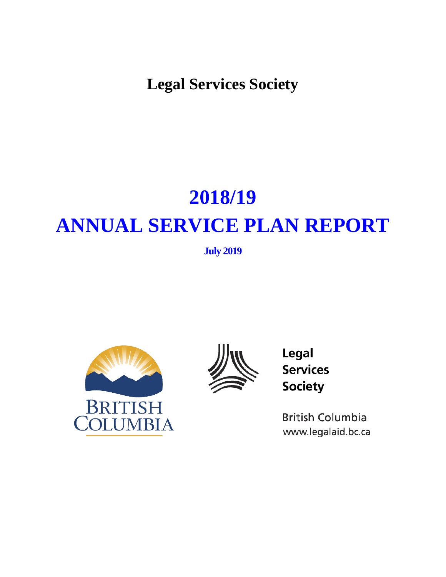**Legal Services Society**

# **2018/19 ANNUAL SERVICE PLAN REPORT**

**July 2019**





Legal **Services Society** 

**British Columbia** www.legalaid.bc.ca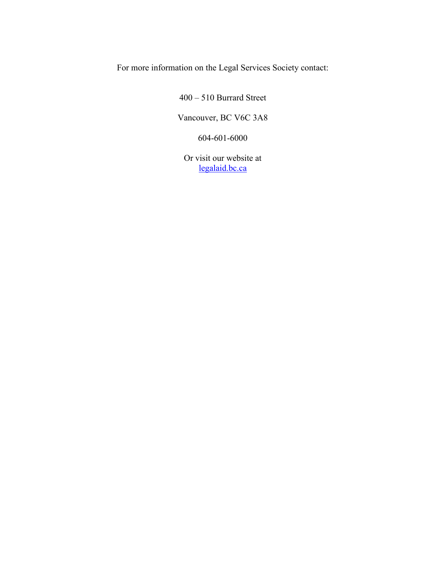For more information on the Legal Services Society contact:

400 – 510 Burrard Street

Vancouver, BC V6C 3A8

604-601-6000

Or visit our website at [legalaid.bc.ca](http://lss.bc.ca/)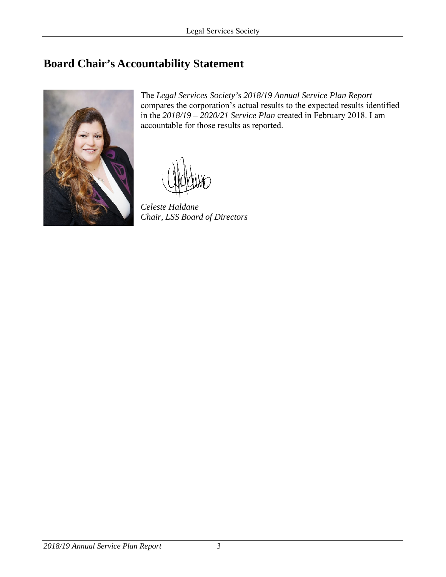# <span id="page-2-0"></span>**Board Chair's Accountability Statement**



The *Legal Services Society's 2018/19 Annual Service Plan Report* compares the corporation's actual results to the expected results identified in the *2018/19 – 2020/21 Service Plan* created in February 2018. I am accountable for those results as reported.

*Celeste Haldane Chair, LSS Board of Directors*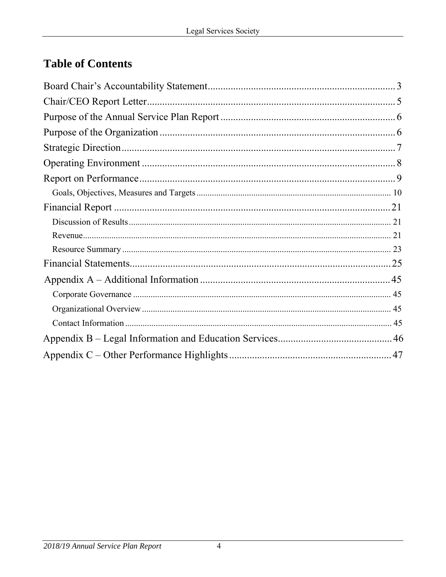# **Table of Contents**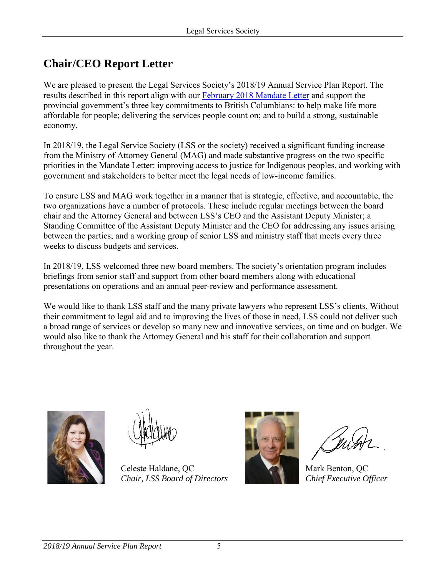# <span id="page-4-0"></span>**Chair/CEO Report Letter**

We are pleased to present the Legal Services Society's 2018/19 Annual Service Plan Report. The results described in this report align with our [February 2018 Mandate Letter](https://lss.bc.ca/sites/default/files/inline-files/2018_2019_MandateLetter_0.pdf) and support the provincial government's three key commitments to British Columbians: to help make life more affordable for people; delivering the services people count on; and to build a strong, sustainable economy.

In 2018/19, the Legal Service Society (LSS or the society) received a significant funding increase from the Ministry of Attorney General (MAG) and made substantive progress on the two specific priorities in the Mandate Letter: improving access to justice for Indigenous peoples, and working with government and stakeholders to better meet the legal needs of low-income families.

To ensure LSS and MAG work together in a manner that is strategic, effective, and accountable, the two organizations have a number of protocols. These include regular meetings between the board chair and the Attorney General and between LSS's CEO and the Assistant Deputy Minister; a Standing Committee of the Assistant Deputy Minister and the CEO for addressing any issues arising between the parties; and a working group of senior LSS and ministry staff that meets every three weeks to discuss budgets and services.

In 2018/19, LSS welcomed three new board members. The society's orientation program includes briefings from senior staff and support from other board members along with educational presentations on operations and an annual peer-review and performance assessment.

We would like to thank LSS staff and the many private lawyers who represent LSS's clients. Without their commitment to legal aid and to improving the lives of those in need, LSS could not deliver such a broad range of services or develop so many new and innovative services, on time and on budget. We would also like to thank the Attorney General and his staff for their collaboration and support throughout the year.



Celeste Haldane, QC *Chair, LSS Board of Directors*



Mark Benton, QC *Chief Executive Officer*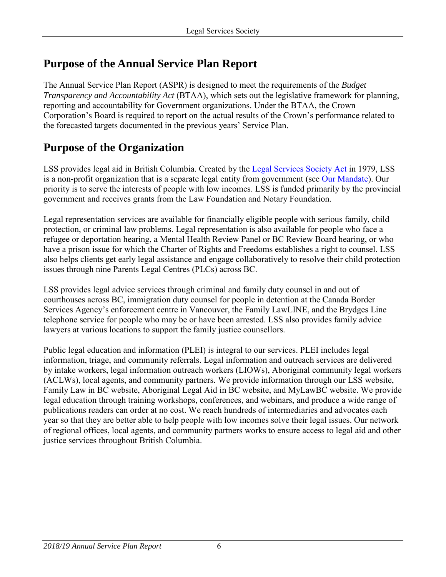# <span id="page-5-0"></span>**Purpose of the Annual Service Plan Report**

The Annual Service Plan Report (ASPR) is designed to meet the requirements of the *Budget Transparency and Accountability Act* (BTAA), which sets out the legislative framework for planning, reporting and accountability for Government organizations. Under the BTAA, the Crown Corporation's Board is required to report on the actual results of the Crown's performance related to the forecasted targets documented in the previous years' Service Plan.

# <span id="page-5-1"></span>**Purpose of the Organization**

LSS provides legal aid in British Columbia. Created by the [Legal Services Society Act](http://www.bclaws.ca/civix/document/id/complete/statreg/02030_01) in 1979, LSS is a non-profit organization that is a separate legal entity from government (see [Our Mandate\)](https://legalaid.bc.ca/about/ourMandate). Our priority is to serve the interests of people with low incomes. LSS is funded primarily by the provincial government and receives grants from the Law Foundation and Notary Foundation.

Legal representation services are available for financially eligible people with serious family, child protection, or criminal law problems. Legal representation is also available for people who face a refugee or deportation hearing, a Mental Health Review Panel or BC Review Board hearing, or who have a prison issue for which the Charter of Rights and Freedoms establishes a right to counsel. LSS also helps clients get early legal assistance and engage collaboratively to resolve their child protection issues through nine Parents Legal Centres (PLCs) across BC.

LSS provides legal advice services through criminal and family duty counsel in and out of courthouses across BC, immigration duty counsel for people in detention at the Canada Border Services Agency's enforcement centre in Vancouver, the Family LawLINE, and the Brydges Line telephone service for people who may be or have been arrested. LSS also provides family advice lawyers at various locations to support the family justice counsellors.

Public legal education and information (PLEI) is integral to our services. PLEI includes legal information, triage, and community referrals. Legal information and outreach services are delivered by intake workers, legal information outreach workers (LIOWs), Aboriginal community legal workers (ACLWs), local agents, and community partners. We provide information through our LSS website, Family Law in BC website, Aboriginal Legal Aid in BC website, and MyLawBC website. We provide legal education through training workshops, conferences, and webinars, and produce a wide range of publications readers can order at no cost. We reach hundreds of intermediaries and advocates each year so that they are better able to help people with low incomes solve their legal issues. Our network of regional offices, local agents, and community partners works to ensure access to legal aid and other justice services throughout British Columbia.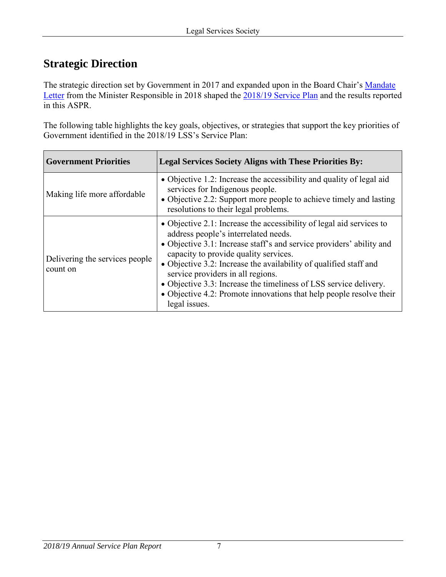# <span id="page-6-0"></span>**Strategic Direction**

The strategic direction set by Government in 2017 and expanded upon in the Board Chair's Mandate [Letter](https://lss.bc.ca/sites/default/files/inline-files/2018_2019_MandateLetter_0.pdf) from the Minister Responsible in 2018 shaped the [2018/19 Service Plan](https://lss.bc.ca/assets/aboutUs/reports/servicePlans/servicePlan2018.pdf) and the results reported in this ASPR.

The following table highlights the key goals, objectives, or strategies that support the key priorities of Government identified in the 2018/19 LSS's Service Plan:

| <b>Government Priorities</b>               | <b>Legal Services Society Aligns with These Priorities By:</b>                                                                                                                                                                                                                                                                                                                                                                                                                                       |
|--------------------------------------------|------------------------------------------------------------------------------------------------------------------------------------------------------------------------------------------------------------------------------------------------------------------------------------------------------------------------------------------------------------------------------------------------------------------------------------------------------------------------------------------------------|
| Making life more affordable                | • Objective 1.2: Increase the accessibility and quality of legal aid<br>services for Indigenous people.<br>• Objective 2.2: Support more people to achieve timely and lasting<br>resolutions to their legal problems.                                                                                                                                                                                                                                                                                |
| Delivering the services people<br>count on | • Objective 2.1: Increase the accessibility of legal aid services to<br>address people's interrelated needs.<br>• Objective 3.1: Increase staff's and service providers' ability and<br>capacity to provide quality services.<br>• Objective 3.2: Increase the availability of qualified staff and<br>service providers in all regions.<br>• Objective 3.3: Increase the timeliness of LSS service delivery.<br>• Objective 4.2: Promote innovations that help people resolve their<br>legal issues. |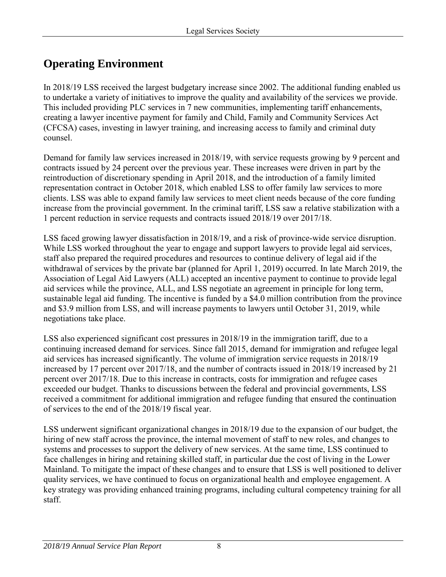# <span id="page-7-0"></span>**Operating Environment**

In 2018/19 LSS received the largest budgetary increase since 2002. The additional funding enabled us to undertake a variety of initiatives to improve the quality and availability of the services we provide. This included providing PLC services in 7 new communities, implementing tariff enhancements, creating a lawyer incentive payment for family and Child, Family and Community Services Act (CFCSA) cases, investing in lawyer training, and increasing access to family and criminal duty counsel.

Demand for family law services increased in 2018/19, with service requests growing by 9 percent and contracts issued by 24 percent over the previous year. These increases were driven in part by the reintroduction of discretionary spending in April 2018, and the introduction of a family limited representation contract in October 2018, which enabled LSS to offer family law services to more clients. LSS was able to expand family law services to meet client needs because of the core funding increase from the provincial government. In the criminal tariff, LSS saw a relative stabilization with a 1 percent reduction in service requests and contracts issued 2018/19 over 2017/18.

LSS faced growing lawyer dissatisfaction in 2018/19, and a risk of province-wide service disruption. While LSS worked throughout the year to engage and support lawyers to provide legal aid services, staff also prepared the required procedures and resources to continue delivery of legal aid if the withdrawal of services by the private bar (planned for April 1, 2019) occurred. In late March 2019, the Association of Legal Aid Lawyers (ALL) accepted an incentive payment to continue to provide legal aid services while the province, ALL, and LSS negotiate an agreement in principle for long term, sustainable legal aid funding. The incentive is funded by a \$4.0 million contribution from the province and \$3.9 million from LSS, and will increase payments to lawyers until October 31, 2019, while negotiations take place.

LSS also experienced significant cost pressures in 2018/19 in the immigration tariff, due to a continuing increased demand for services. Since fall 2015, demand for immigration and refugee legal aid services has increased significantly. The volume of immigration service requests in 2018/19 increased by 17 percent over 2017/18, and the number of contracts issued in 2018/19 increased by 21 percent over 2017/18. Due to this increase in contracts, costs for immigration and refugee cases exceeded our budget. Thanks to discussions between the federal and provincial governments, LSS received a commitment for additional immigration and refugee funding that ensured the continuation of services to the end of the 2018/19 fiscal year.

LSS underwent significant organizational changes in 2018/19 due to the expansion of our budget, the hiring of new staff across the province, the internal movement of staff to new roles, and changes to systems and processes to support the delivery of new services. At the same time, LSS continued to face challenges in hiring and retaining skilled staff, in particular due the cost of living in the Lower Mainland. To mitigate the impact of these changes and to ensure that LSS is well positioned to deliver quality services, we have continued to focus on organizational health and employee engagement. A key strategy was providing enhanced training programs, including cultural competency training for all staff.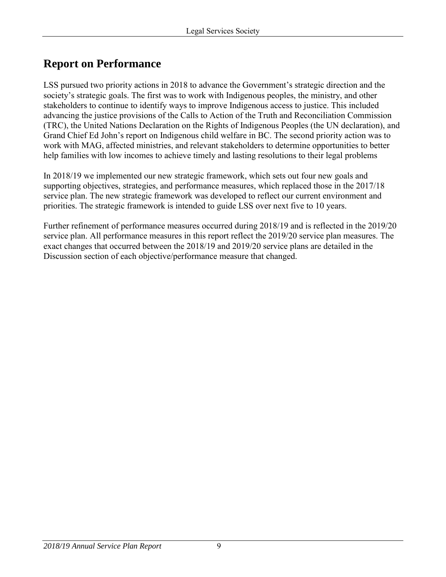# <span id="page-8-0"></span>**Report on Performance**

LSS pursued two priority actions in 2018 to advance the Government's strategic direction and the society's strategic goals. The first was to work with Indigenous peoples, the ministry, and other stakeholders to continue to identify ways to improve Indigenous access to justice. This included advancing the justice provisions of the Calls to Action of the Truth and Reconciliation Commission (TRC), the United Nations Declaration on the Rights of Indigenous Peoples (the UN declaration), and Grand Chief Ed John's report on Indigenous child welfare in BC. The second priority action was to work with MAG, affected ministries, and relevant stakeholders to determine opportunities to better help families with low incomes to achieve timely and lasting resolutions to their legal problems

In 2018/19 we implemented our new strategic framework, which sets out four new goals and supporting objectives, strategies, and performance measures, which replaced those in the 2017/18 service plan. The new strategic framework was developed to reflect our current environment and priorities. The strategic framework is intended to guide LSS over next five to 10 years.

Further refinement of performance measures occurred during 2018/19 and is reflected in the 2019/20 service plan. All performance measures in this report reflect the 2019/20 service plan measures. The exact changes that occurred between the 2018/19 and 2019/20 service plans are detailed in the Discussion section of each objective/performance measure that changed.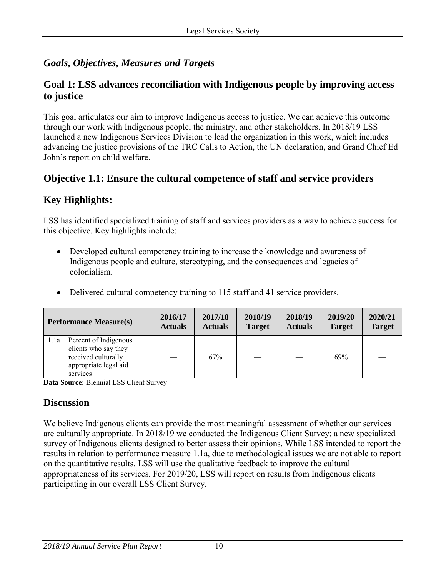# <span id="page-9-0"></span>*Goals, Objectives, Measures and Targets*

### **Goal 1: LSS advances reconciliation with Indigenous people by improving access to justice**

This goal articulates our aim to improve Indigenous access to justice. We can achieve this outcome through our work with Indigenous people, the ministry, and other stakeholders. In 2018/19 LSS launched a new Indigenous Services Division to lead the organization in this work, which includes advancing the justice provisions of the TRC Calls to Action, the UN declaration, and Grand Chief Ed John's report on child welfare.

## **Objective 1.1: Ensure the cultural competence of staff and service providers**

# **Key Highlights:**

LSS has identified specialized training of staff and services providers as a way to achieve success for this objective. Key highlights include:

- Developed cultural competency training to increase the knowledge and awareness of Indigenous people and culture, stereotyping, and the consequences and legacies of colonialism.
- Delivered cultural competency training to 115 staff and 41 service providers.

| <b>Performance Measure(s)</b>                                                                                     | 2016/17        | 2017/18        | 2018/19       | 2018/19        | 2019/20       | 2020/21       |
|-------------------------------------------------------------------------------------------------------------------|----------------|----------------|---------------|----------------|---------------|---------------|
|                                                                                                                   | <b>Actuals</b> | <b>Actuals</b> | <b>Target</b> | <b>Actuals</b> | <b>Target</b> | <b>Target</b> |
| Percent of Indigenous<br>1.1a<br>clients who say they<br>received culturally<br>appropriate legal aid<br>services |                | 67%            |               |                | 69%           |               |

**Data Source:** Biennial LSS Client Survey

## **Discussion**

We believe Indigenous clients can provide the most meaningful assessment of whether our services are culturally appropriate. In 2018/19 we conducted the Indigenous Client Survey; a new specialized survey of Indigenous clients designed to better assess their opinions. While LSS intended to report the results in relation to performance measure 1.1a, due to methodological issues we are not able to report on the quantitative results. LSS will use the qualitative feedback to improve the cultural appropriateness of its services. For 2019/20, LSS will report on results from Indigenous clients participating in our overall LSS Client Survey.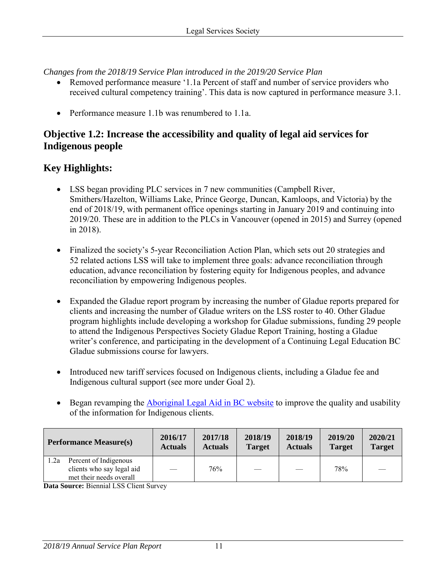*Changes from the 2018/19 Service Plan introduced in the 2019/20 Service Plan* 

- Removed performance measure '1.1a Percent of staff and number of service providers who received cultural competency training'. This data is now captured in performance measure 3.1.
- Performance measure 1.1b was renumbered to 1.1a.

### **Objective 1.2: Increase the accessibility and quality of legal aid services for Indigenous people**

## **Key Highlights:**

- LSS began providing PLC services in 7 new communities (Campbell River, Smithers/Hazelton, Williams Lake, Prince George, Duncan, Kamloops, and Victoria) by the end of 2018/19, with permanent office openings starting in January 2019 and continuing into 2019/20. These are in addition to the PLCs in Vancouver (opened in 2015) and Surrey (opened in 2018).
- Finalized the society's 5-year Reconciliation Action Plan, which sets out 20 strategies and 52 related actions LSS will take to implement three goals: advance reconciliation through education, advance reconciliation by fostering equity for Indigenous peoples, and advance reconciliation by empowering Indigenous peoples.
- Expanded the Gladue report program by increasing the number of Gladue reports prepared for clients and increasing the number of Gladue writers on the LSS roster to 40. Other Gladue program highlights include developing a workshop for Gladue submissions, funding 29 people to attend the Indigenous Perspectives Society Gladue Report Training, hosting a Gladue writer's conference, and participating in the development of a Continuing Legal Education BC Gladue submissions course for lawyers.
- Introduced new tariff services focused on Indigenous clients, including a Gladue fee and Indigenous cultural support (see more under Goal 2).
- Began revamping the **Aboriginal Legal Aid in BC** website to improve the quality and usability of the information for Indigenous clients.

| <b>Performance Measure(s)</b>                                                         | 2016/17        | 2017/18        | 2018/19                  | 2018/19        | 2019/20       | 2020/21       |
|---------------------------------------------------------------------------------------|----------------|----------------|--------------------------|----------------|---------------|---------------|
|                                                                                       | <b>Actuals</b> | <b>Actuals</b> | <b>Target</b>            | <b>Actuals</b> | <b>Target</b> | <b>Target</b> |
| Percent of Indigenous<br>1.2a<br>clients who say legal aid<br>met their needs overall |                | 76%            | $\overline{\phantom{a}}$ |                | 78%           |               |

**Data Source:** Biennial LSS Client Survey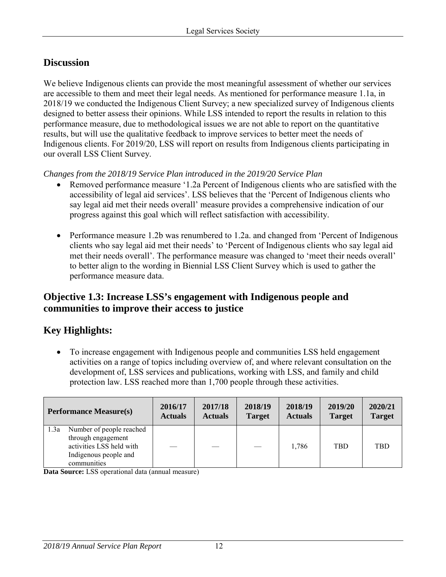# **Discussion**

We believe Indigenous clients can provide the most meaningful assessment of whether our services are accessible to them and meet their legal needs. As mentioned for performance measure 1.1a, in 2018/19 we conducted the Indigenous Client Survey; a new specialized survey of Indigenous clients designed to better assess their opinions. While LSS intended to report the results in relation to this performance measure, due to methodological issues we are not able to report on the quantitative results, but will use the qualitative feedback to improve services to better meet the needs of Indigenous clients. For 2019/20, LSS will report on results from Indigenous clients participating in our overall LSS Client Survey.

*Changes from the 2018/19 Service Plan introduced in the 2019/20 Service Plan* 

- Removed performance measure '1.2a Percent of Indigenous clients who are satisfied with the accessibility of legal aid services'. LSS believes that the 'Percent of Indigenous clients who say legal aid met their needs overall' measure provides a comprehensive indication of our progress against this goal which will reflect satisfaction with accessibility.
- Performance measure 1.2b was renumbered to 1.2a. and changed from 'Percent of Indigenous clients who say legal aid met their needs' to 'Percent of Indigenous clients who say legal aid met their needs overall'. The performance measure was changed to 'meet their needs overall' to better align to the wording in Biennial LSS Client Survey which is used to gather the performance measure data.

# **Objective 1.3: Increase LSS's engagement with Indigenous people and communities to improve their access to justice**

# **Key Highlights:**

• To increase engagement with Indigenous people and communities LSS held engagement activities on a range of topics including overview of, and where relevant consultation on the development of, LSS services and publications, working with LSS, and family and child protection law. LSS reached more than 1,700 people through these activities.

| <b>Performance Measure(s)</b>                                                                                              | 2016/17        | 2017/18        | 2018/19       | 2018/19        | 2019/20       | 2020/21       |
|----------------------------------------------------------------------------------------------------------------------------|----------------|----------------|---------------|----------------|---------------|---------------|
|                                                                                                                            | <b>Actuals</b> | <b>Actuals</b> | <b>Target</b> | <b>Actuals</b> | <b>Target</b> | <b>Target</b> |
| Number of people reached<br>1.3a<br>through engagement<br>activities LSS held with<br>Indigenous people and<br>communities |                |                |               | 1,786          | <b>TBD</b>    | <b>TBD</b>    |

**Data Source:** LSS operational data (annual measure)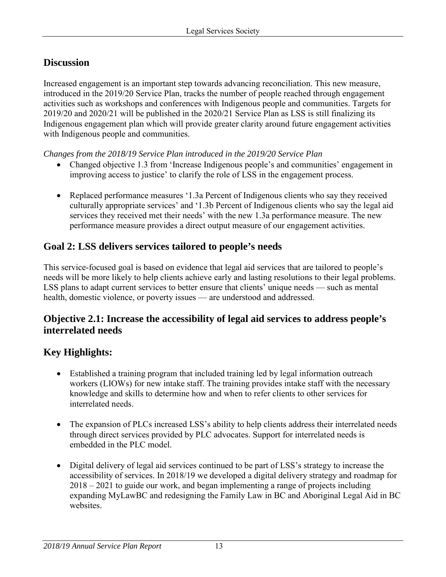# **Discussion**

Increased engagement is an important step towards advancing reconciliation. This new measure, introduced in the 2019/20 Service Plan, tracks the number of people reached through engagement activities such as workshops and conferences with Indigenous people and communities. Targets for 2019/20 and 2020/21 will be published in the 2020/21 Service Plan as LSS is still finalizing its Indigenous engagement plan which will provide greater clarity around future engagement activities with Indigenous people and communities.

*Changes from the 2018/19 Service Plan introduced in the 2019/20 Service Plan* 

- Changed objective 1.3 from 'Increase Indigenous people's and communities' engagement in improving access to justice' to clarify the role of LSS in the engagement process.
- Replaced performance measures '1.3a Percent of Indigenous clients who say they received culturally appropriate services' and '1.3b Percent of Indigenous clients who say the legal aid services they received met their needs' with the new 1.3a performance measure. The new performance measure provides a direct output measure of our engagement activities.

# **Goal 2: LSS delivers services tailored to people's needs**

This service-focused goal is based on evidence that legal aid services that are tailored to people's needs will be more likely to help clients achieve early and lasting resolutions to their legal problems. LSS plans to adapt current services to better ensure that clients' unique needs — such as mental health, domestic violence, or poverty issues — are understood and addressed.

# **Objective 2.1: Increase the accessibility of legal aid services to address people's interrelated needs**

# **Key Highlights:**

- Established a training program that included training led by legal information outreach workers (LIOWs) for new intake staff. The training provides intake staff with the necessary knowledge and skills to determine how and when to refer clients to other services for interrelated needs.
- The expansion of PLCs increased LSS's ability to help clients address their interrelated needs through direct services provided by PLC advocates. Support for interrelated needs is embedded in the PLC model.
- Digital delivery of legal aid services continued to be part of LSS's strategy to increase the accessibility of services. In 2018/19 we developed a digital delivery strategy and roadmap for 2018 – 2021 to guide our work, and began implementing a range of projects including expanding MyLawBC and redesigning the Family Law in BC and Aboriginal Legal Aid in BC websites.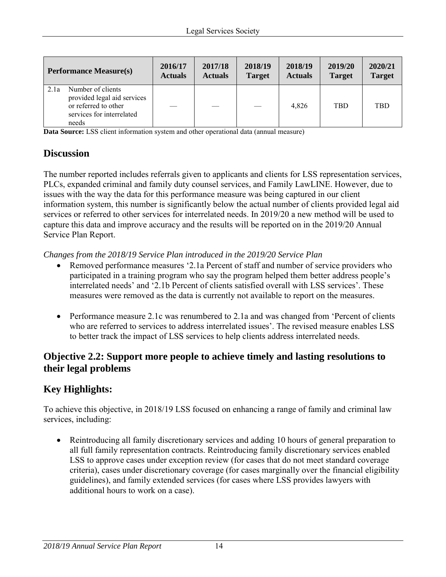| <b>Performance Measure(s)</b>                                                                                          | 2016/17        | 2017/18        | 2018/19       | 2018/19        | 2019/20       | 2020/21       |
|------------------------------------------------------------------------------------------------------------------------|----------------|----------------|---------------|----------------|---------------|---------------|
|                                                                                                                        | <b>Actuals</b> | <b>Actuals</b> | <b>Target</b> | <b>Actuals</b> | <b>Target</b> | <b>Target</b> |
| Number of clients<br>2.1a<br>provided legal aid services<br>or referred to other<br>services for interrelated<br>needs |                |                |               | 4.826          | <b>TBD</b>    | <b>TBD</b>    |

**Data Source:** LSS client information system and other operational data (annual measure)

# **Discussion**

The number reported includes referrals given to applicants and clients for LSS representation services, PLCs, expanded criminal and family duty counsel services, and Family LawLINE. However, due to issues with the way the data for this performance measure was being captured in our client information system, this number is significantly below the actual number of clients provided legal aid services or referred to other services for interrelated needs. In 2019/20 a new method will be used to capture this data and improve accuracy and the results will be reported on in the 2019/20 Annual Service Plan Report.

*Changes from the 2018/19 Service Plan introduced in the 2019/20 Service Plan* 

- Removed performance measures '2.1a Percent of staff and number of service providers who participated in a training program who say the program helped them better address people's interrelated needs' and '2.1b Percent of clients satisfied overall with LSS services'. These measures were removed as the data is currently not available to report on the measures.
- Performance measure 2.1c was renumbered to 2.1a and was changed from 'Percent of clients who are referred to services to address interrelated issues'. The revised measure enables LSS to better track the impact of LSS services to help clients address interrelated needs.

### **Objective 2.2: Support more people to achieve timely and lasting resolutions to their legal problems**

## **Key Highlights:**

To achieve this objective, in 2018/19 LSS focused on enhancing a range of family and criminal law services, including:

• Reintroducing all family discretionary services and adding 10 hours of general preparation to all full family representation contracts. Reintroducing family discretionary services enabled LSS to approve cases under exception review (for cases that do not meet standard coverage criteria), cases under discretionary coverage (for cases marginally over the financial eligibility guidelines), and family extended services (for cases where LSS provides lawyers with additional hours to work on a case).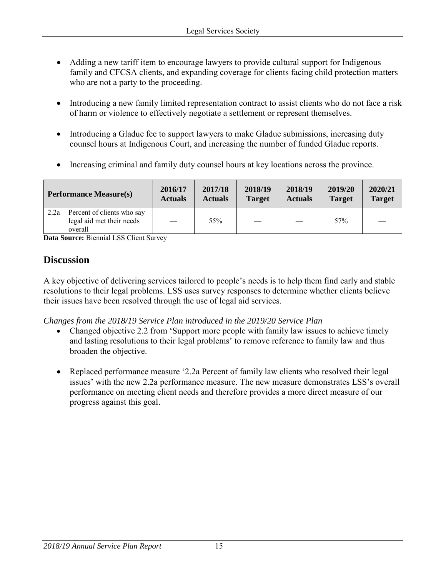- Adding a new tariff item to encourage lawyers to provide cultural support for Indigenous family and CFCSA clients, and expanding coverage for clients facing child protection matters who are not a party to the proceeding.
- Introducing a new family limited representation contract to assist clients who do not face a risk of harm or violence to effectively negotiate a settlement or represent themselves.
- Introducing a Gladue fee to support lawyers to make Gladue submissions, increasing duty counsel hours at Indigenous Court, and increasing the number of funded Gladue reports.
- Increasing criminal and family duty counsel hours at key locations across the province.

| <b>Performance Measure(s)</b>                                              | 2016/17        | 2017/18        | 2018/19       | 2018/19        | 2019/20       | 2020/21       |
|----------------------------------------------------------------------------|----------------|----------------|---------------|----------------|---------------|---------------|
|                                                                            | <b>Actuals</b> | <b>Actuals</b> | <b>Target</b> | <b>Actuals</b> | <b>Target</b> | <b>Target</b> |
| Percent of clients who say<br>2.2a<br>legal aid met their needs<br>overall |                | 55%            |               |                | 57%           |               |

**Data Source:** Biennial LSS Client Survey

# **Discussion**

A key objective of delivering services tailored to people's needs is to help them find early and stable resolutions to their legal problems. LSS uses survey responses to determine whether clients believe their issues have been resolved through the use of legal aid services.

*Changes from the 2018/19 Service Plan introduced in the 2019/20 Service Plan* 

- Changed objective 2.2 from 'Support more people with family law issues to achieve timely and lasting resolutions to their legal problems' to remove reference to family law and thus broaden the objective.
- Replaced performance measure '2.2a Percent of family law clients who resolved their legal issues' with the new 2.2a performance measure. The new measure demonstrates LSS's overall performance on meeting client needs and therefore provides a more direct measure of our progress against this goal.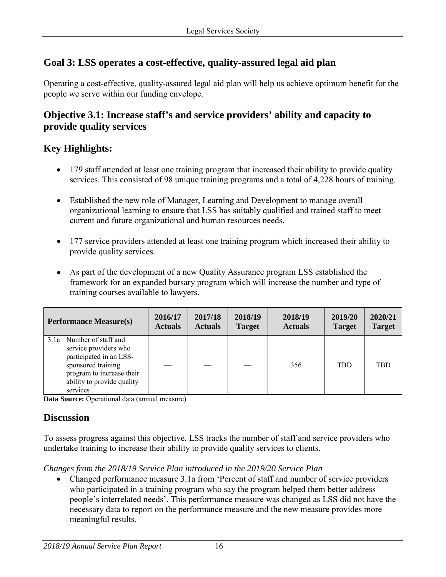# **Goal 3: LSS operates a cost-effective, quality-assured legal aid plan**

Operating a cost-effective, quality-assured legal aid plan will help us achieve optimum benefit for the people we serve within our funding envelope.

# **Objective 3.1: Increase staff's and service providers' ability and capacity to provide quality services**

# **Key Highlights:**

- 179 staff attended at least one training program that increased their ability to provide quality services. This consisted of 98 unique training programs and a total of 4,228 hours of training.
- Established the new role of Manager, Learning and Development to manage overall organizational learning to ensure that LSS has suitably qualified and trained staff to meet current and future organizational and human resources needs.
- 177 service providers attended at least one training program which increased their ability to provide quality services.
- As part of the development of a new Quality Assurance program LSS established the framework for an expanded bursary program which will increase the number and type of training courses available to lawyers.

| <b>Performance Measure(s)</b>                                                                                                                                             | 2016/17        | 2017/18        | 2018/19       | 2018/19        | 2019/20       | 2020/21       |
|---------------------------------------------------------------------------------------------------------------------------------------------------------------------------|----------------|----------------|---------------|----------------|---------------|---------------|
|                                                                                                                                                                           | <b>Actuals</b> | <b>Actuals</b> | <b>Target</b> | <b>Actuals</b> | <b>Target</b> | <b>Target</b> |
| 3.1a Number of staff and<br>service providers who<br>participated in an LSS-<br>sponsored training<br>program to increase their<br>ability to provide quality<br>services |                |                |               | 356            | <b>TBD</b>    | <b>TBD</b>    |

**Data Source:** Operational data (annual measure)

## **Discussion**

To assess progress against this objective, LSS tracks the number of staff and service providers who undertake training to increase their ability to provide quality services to clients.

*Changes from the 2018/19 Service Plan introduced in the 2019/20 Service Plan* 

• Changed performance measure 3.1a from 'Percent of staff and number of service providers who participated in a training program who say the program helped them better address people's interrelated needs'. This performance measure was changed as LSS did not have the necessary data to report on the performance measure and the new measure provides more meaningful results.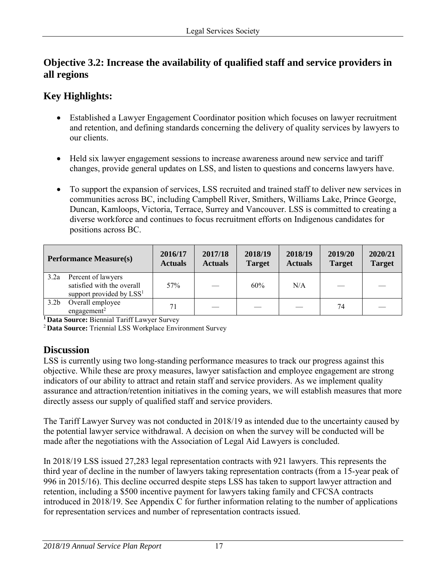# **Objective 3.2: Increase the availability of qualified staff and service providers in all regions**

# **Key Highlights:**

- Established a Lawyer Engagement Coordinator position which focuses on lawyer recruitment and retention, and defining standards concerning the delivery of quality services by lawyers to our clients.
- Held six lawyer engagement sessions to increase awareness around new service and tariff changes, provide general updates on LSS, and listen to questions and concerns lawyers have.
- To support the expansion of services, LSS recruited and trained staff to deliver new services in communities across BC, including Campbell River, Smithers, Williams Lake, Prince George, Duncan, Kamloops, Victoria, Terrace, Surrey and Vancouver. LSS is committed to creating a diverse workforce and continues to focus recruitment efforts on Indigenous candidates for positions across BC.

|                  | <b>Performance Measure(s)</b>                                                            | 2016/17<br><b>Actuals</b> | 2017/18<br><b>Actuals</b> | 2018/19<br><b>Target</b> | 2018/19<br><b>Actuals</b> | 2019/20<br><b>Target</b> | 2020/21<br><b>Target</b> |
|------------------|------------------------------------------------------------------------------------------|---------------------------|---------------------------|--------------------------|---------------------------|--------------------------|--------------------------|
| 3.2a             | Percent of lawyers<br>satisfied with the overall<br>support provided by LSS <sup>1</sup> | 57%                       |                           | 60%                      | N/A                       |                          |                          |
| 3.2 <sub>b</sub> | Overall employee<br>engagement <sup>2</sup>                                              | 71                        |                           |                          |                           | 74                       |                          |

**1 Data Source:** Biennial Tariff Lawyer Survey

<sup>2</sup>**Data Source:** Triennial LSS Workplace Environment Survey

## **Discussion**

LSS is currently using two long-standing performance measures to track our progress against this objective. While these are proxy measures, lawyer satisfaction and employee engagement are strong indicators of our ability to attract and retain staff and service providers. As we implement quality assurance and attraction/retention initiatives in the coming years, we will establish measures that more directly assess our supply of qualified staff and service providers.

The Tariff Lawyer Survey was not conducted in 2018/19 as intended due to the uncertainty caused by the potential lawyer service withdrawal. A decision on when the survey will be conducted will be made after the negotiations with the Association of Legal Aid Lawyers is concluded.

In 2018/19 LSS issued 27,283 legal representation contracts with 921 lawyers. This represents the third year of decline in the number of lawyers taking representation contracts (from a 15-year peak of 996 in 2015/16). This decline occurred despite steps LSS has taken to support lawyer attraction and retention, including a \$500 incentive payment for lawyers taking family and CFCSA contracts introduced in 2018/19. See Appendix C for further information relating to the number of applications for representation services and number of representation contracts issued.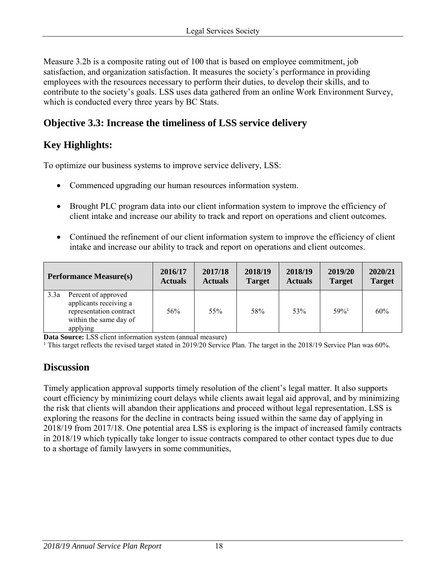Measure 3.2b is a composite rating out of 100 that is based on employee commitment, job satisfaction, and organization satisfaction. It measures the society's performance in providing employees with the resources necessary to perform their duties, to develop their skills, and to contribute to the society's goals. LSS uses data gathered from an online Work Environment Survey, which is conducted every three years by BC Stats.

# **Objective 3.3: Increase the timeliness of LSS service delivery**

# **Key Highlights:**

To optimize our business systems to improve service delivery, LSS:

- Commenced upgrading our human resources information system.
- Brought PLC program data into our client information system to improve the efficiency of client intake and increase our ability to track and report on operations and client outcomes.
- Continued the refinement of our client information system to improve the efficiency of client intake and increase our ability to track and report on operations and client outcomes.

| <b>Performance Measure(s)</b>                                                                                          | 2016/17        | 2017/18        | 2018/19       | 2018/19        | 2019/20             | 2020/21       |
|------------------------------------------------------------------------------------------------------------------------|----------------|----------------|---------------|----------------|---------------------|---------------|
|                                                                                                                        | <b>Actuals</b> | <b>Actuals</b> | <b>Target</b> | <b>Actuals</b> | <b>Target</b>       | <b>Target</b> |
| 3.3a<br>Percent of approved<br>applicants receiving a<br>representation contract<br>within the same day of<br>applying | 56%            | 55%            | 58%           | 53%            | $59\%$ <sup>1</sup> | 60%           |

**Data Source:** LSS client information system (annual measure)

<sup>1</sup> This target reflects the revised target stated in 2019/20 Service Plan. The target in the 2018/19 Service Plan was 60%.

## **Discussion**

Timely application approval supports timely resolution of the client's legal matter. It also supports court efficiency by minimizing court delays while clients await legal aid approval, and by minimizing the risk that clients will abandon their applications and proceed without legal representation. LSS is exploring the reasons for the decline in contracts being issued within the same day of applying in 2018/19 from 2017/18. One potential area LSS is exploring is the impact of increased family contracts in 2018/19 which typically take longer to issue contracts compared to other contact types due to due to a shortage of family lawyers in some communities,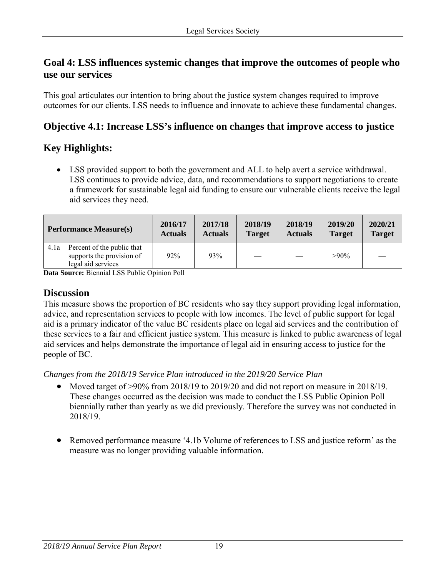## **Goal 4: LSS influences systemic changes that improve the outcomes of people who use our services**

This goal articulates our intention to bring about the justice system changes required to improve outcomes for our clients. LSS needs to influence and innovate to achieve these fundamental changes.

# **Objective 4.1: Increase LSS's influence on changes that improve access to justice**

# **Key Highlights:**

• LSS provided support to both the government and ALL to help avert a service withdrawal. LSS continues to provide advice, data, and recommendations to support negotiations to create a framework for sustainable legal aid funding to ensure our vulnerable clients receive the legal aid services they need.

|      | <b>Performance Measure(s)</b>                                                 | 2016/17<br><b>Actuals</b> | 2017/18<br><b>Actuals</b> | 2018/19<br><b>Target</b> | 2018/19<br><b>Actuals</b> | 2019/20<br><b>Target</b> | 2020/21<br><b>Target</b> |
|------|-------------------------------------------------------------------------------|---------------------------|---------------------------|--------------------------|---------------------------|--------------------------|--------------------------|
| 4.1a | Percent of the public that<br>supports the provision of<br>legal aid services | 92%                       | 93%                       |                          |                           | $>90\%$                  |                          |

**Data Source:** Biennial LSS Public Opinion Poll

### **Discussion**

This measure shows the proportion of BC residents who say they support providing legal information, advice, and representation services to people with low incomes. The level of public support for legal aid is a primary indicator of the value BC residents place on legal aid services and the contribution of these services to a fair and efficient justice system. This measure is linked to public awareness of legal aid services and helps demonstrate the importance of legal aid in ensuring access to justice for the people of BC.

*Changes from the 2018/19 Service Plan introduced in the 2019/20 Service Plan* 

- Moved target of >90% from 2018/19 to 2019/20 and did not report on measure in 2018/19. These changes occurred as the decision was made to conduct the LSS Public Opinion Poll biennially rather than yearly as we did previously. Therefore the survey was not conducted in 2018/19.
- Removed performance measure '4.1b Volume of references to LSS and justice reform' as the measure was no longer providing valuable information.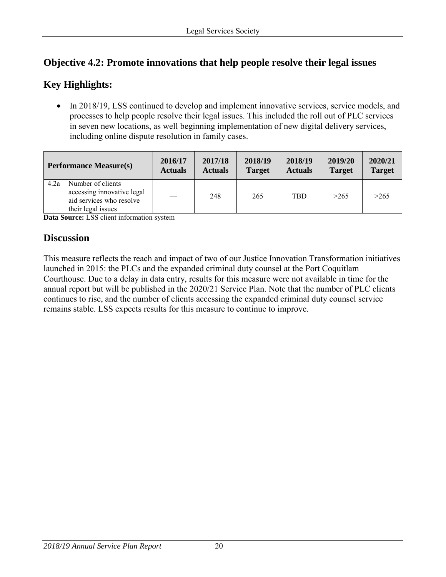# **Objective 4.2: Promote innovations that help people resolve their legal issues**

# **Key Highlights:**

• In 2018/19, LSS continued to develop and implement innovative services, service models, and processes to help people resolve their legal issues. This included the roll out of PLC services in seven new locations, as well beginning implementation of new digital delivery services, including online dispute resolution in family cases.

| <b>Performance Measure(s)</b>                                                                             | 2016/17        | 2017/18        | 2018/19       | 2018/19        | 2019/20       | 2020/21       |
|-----------------------------------------------------------------------------------------------------------|----------------|----------------|---------------|----------------|---------------|---------------|
|                                                                                                           | <b>Actuals</b> | <b>Actuals</b> | <b>Target</b> | <b>Actuals</b> | <b>Target</b> | <b>Target</b> |
| Number of clients<br>4.2a<br>accessing innovative legal<br>aid services who resolve<br>their legal issues |                | 248            | 265           | <b>TBD</b>     | >265          | >265          |

**Data Source:** LSS client information system

# **Discussion**

This measure reflects the reach and impact of two of our Justice Innovation Transformation initiatives launched in 2015: the PLCs and the expanded criminal duty counsel at the Port Coquitlam Courthouse. Due to a delay in data entry, results for this measure were not available in time for the annual report but will be published in the 2020/21 Service Plan. Note that the number of PLC clients continues to rise, and the number of clients accessing the expanded criminal duty counsel service remains stable. LSS expects results for this measure to continue to improve.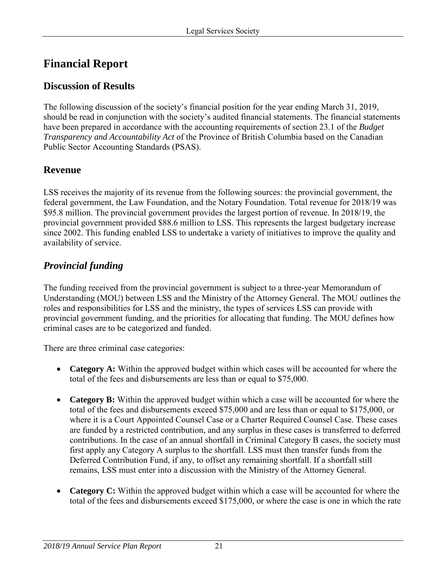# <span id="page-20-0"></span>**Financial Report**

# <span id="page-20-1"></span>**Discussion of Results**

The following discussion of the society's financial position for the year ending March 31, 2019, should be read in conjunction with the society's audited financial statements. The financial statements have been prepared in accordance with the accounting requirements of section 23.1 of the *Budget Transparency and Accountability Act* of the Province of British Columbia based on the Canadian Public Sector Accounting Standards (PSAS).

# <span id="page-20-2"></span>**Revenue**

LSS receives the majority of its revenue from the following sources: the provincial government, the federal government, the Law Foundation, and the Notary Foundation. Total revenue for 2018/19 was \$95.8 million. The provincial government provides the largest portion of revenue. In 2018/19, the provincial government provided \$88.6 million to LSS. This represents the largest budgetary increase since 2002. This funding enabled LSS to undertake a variety of initiatives to improve the quality and availability of service.

# *Provincial funding*

The funding received from the provincial government is subject to a three-year Memorandum of Understanding (MOU) between LSS and the Ministry of the Attorney General. The MOU outlines the roles and responsibilities for LSS and the ministry, the types of services LSS can provide with provincial government funding, and the priorities for allocating that funding. The MOU defines how criminal cases are to be categorized and funded.

There are three criminal case categories:

- **Category A:** Within the approved budget within which cases will be accounted for where the total of the fees and disbursements are less than or equal to \$75,000.
- **Category B:** Within the approved budget within which a case will be accounted for where the total of the fees and disbursements exceed \$75,000 and are less than or equal to \$175,000, or where it is a Court Appointed Counsel Case or a Charter Required Counsel Case. These cases are funded by a restricted contribution, and any surplus in these cases is transferred to deferred contributions. In the case of an annual shortfall in Criminal Category B cases, the society must first apply any Category A surplus to the shortfall. LSS must then transfer funds from the Deferred Contribution Fund, if any, to offset any remaining shortfall. If a shortfall still remains, LSS must enter into a discussion with the Ministry of the Attorney General.
- **Category C:** Within the approved budget within which a case will be accounted for where the total of the fees and disbursements exceed \$175,000, or where the case is one in which the rate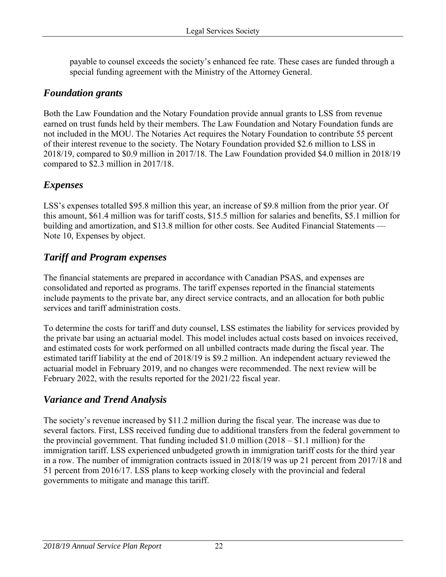payable to counsel exceeds the society's enhanced fee rate. These cases are funded through a special funding agreement with the Ministry of the Attorney General.

### *Foundation grants*

Both the Law Foundation and the Notary Foundation provide annual grants to LSS from revenue earned on trust funds held by their members. The Law Foundation and Notary Foundation funds are not included in the MOU. The Notaries Act requires the Notary Foundation to contribute 55 percent of their interest revenue to the society. The Notary Foundation provided \$2.6 million to LSS in 2018/19, compared to \$0.9 million in 2017/18. The Law Foundation provided \$4.0 million in 2018/19 compared to \$2.3 million in 2017/18.

### *Expenses*

LSS's expenses totalled \$95.8 million this year, an increase of \$9.8 million from the prior year. Of this amount, \$61.4 million was for tariff costs, \$15.5 million for salaries and benefits, \$5.1 million for building and amortization, and \$13.8 million for other costs. See Audited Financial Statements — Note 10, Expenses by object.

## *Tariff and Program expenses*

The financial statements are prepared in accordance with Canadian PSAS, and expenses are consolidated and reported as programs. The tariff expenses reported in the financial statements include payments to the private bar, any direct service contracts, and an allocation for both public services and tariff administration costs.

To determine the costs for tariff and duty counsel, LSS estimates the liability for services provided by the private bar using an actuarial model. This model includes actual costs based on invoices received, and estimated costs for work performed on all unbilled contracts made during the fiscal year. The estimated tariff liability at the end of 2018/19 is \$9.2 million. An independent actuary reviewed the actuarial model in February 2019, and no changes were recommended. The next review will be February 2022, with the results reported for the 2021/22 fiscal year.

# *Variance and Trend Analysis*

The society's revenue increased by \$11.2 million during the fiscal year. The increase was due to several factors. First, LSS received funding due to additional transfers from the federal government to the provincial government. That funding included \$1.0 million (2018 – \$1.1 million) for the immigration tariff. LSS experienced unbudgeted growth in immigration tariff costs for the third year in a row. The number of immigration contracts issued in 2018/19 was up 21 percent from 2017/18 and 51 percent from 2016/17. LSS plans to keep working closely with the provincial and federal governments to mitigate and manage this tariff.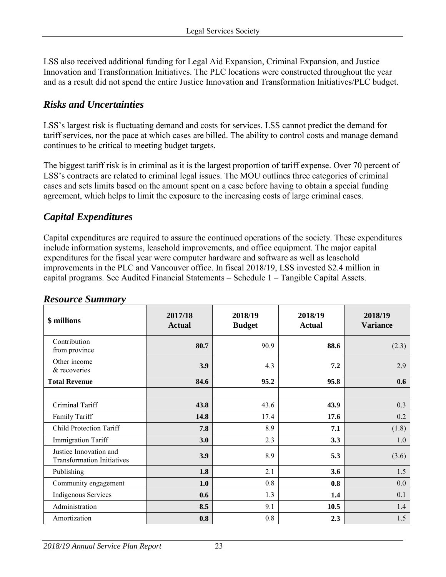LSS also received additional funding for Legal Aid Expansion, Criminal Expansion, and Justice Innovation and Transformation Initiatives. The PLC locations were constructed throughout the year and as a result did not spend the entire Justice Innovation and Transformation Initiatives/PLC budget.

### *Risks and Uncertainties*

LSS's largest risk is fluctuating demand and costs for services. LSS cannot predict the demand for tariff services, nor the pace at which cases are billed. The ability to control costs and manage demand continues to be critical to meeting budget targets.

The biggest tariff risk is in criminal as it is the largest proportion of tariff expense. Over 70 percent of LSS's contracts are related to criminal legal issues. The MOU outlines three categories of criminal cases and sets limits based on the amount spent on a case before having to obtain a special funding agreement, which helps to limit the exposure to the increasing costs of large criminal cases.

### *Capital Expenditures*

Capital expenditures are required to assure the continued operations of the society. These expenditures include information systems, leasehold improvements, and office equipment. The major capital expenditures for the fiscal year were computer hardware and software as well as leasehold improvements in the PLC and Vancouver office. In fiscal 2018/19, LSS invested \$2.4 million in capital programs. See Audited Financial Statements – Schedule 1 – Tangible Capital Assets.

| \$ millions                                                 | 2017/18<br><b>Actual</b> | 2018/19<br><b>Budget</b> | 2018/19<br><b>Actual</b> | 2018/19<br><b>Variance</b> |
|-------------------------------------------------------------|--------------------------|--------------------------|--------------------------|----------------------------|
| Contribution<br>from province                               | 80.7                     | 90.9                     | 88.6                     | (2.3)                      |
| Other income<br>& recoveries                                | 3.9                      | 4.3                      | 7.2                      | 2.9                        |
| <b>Total Revenue</b>                                        | 84.6                     | 95.2                     | 95.8                     | 0.6                        |
|                                                             |                          |                          |                          |                            |
| Criminal Tariff                                             | 43.8                     | 43.6                     | 43.9                     | 0.3                        |
| Family Tariff                                               | 14.8                     | 17.4                     | 17.6                     | 0.2                        |
| <b>Child Protection Tariff</b>                              | 7.8                      | 8.9                      | 7.1                      | (1.8)                      |
| <b>Immigration Tariff</b>                                   | 3.0                      | 2.3                      | 3.3                      | 1.0                        |
| Justice Innovation and<br><b>Transformation Initiatives</b> | 3.9                      | 8.9                      | 5.3                      | (3.6)                      |
| Publishing                                                  | 1.8                      | 2.1                      | 3.6                      | 1.5                        |
| Community engagement                                        | 1.0                      | 0.8                      | 0.8                      | 0.0                        |
| Indigenous Services                                         | 0.6                      | 1.3                      | 1.4                      | 0.1                        |
| Administration                                              | 8.5                      | 9.1                      | 10.5                     | 1.4                        |
| Amortization                                                | 0.8                      | 0.8                      | 2.3                      | 1.5                        |

#### <span id="page-22-0"></span>*Resource Summary*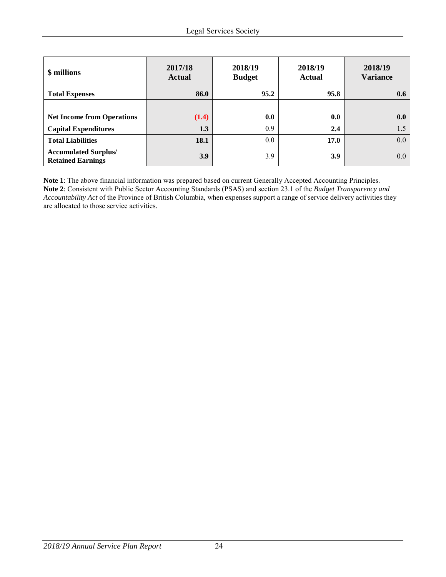| \$ millions                                             | 2017/18<br><b>Actual</b> | 2018/19<br><b>Budget</b> | 2018/19<br><b>Actual</b> | 2018/19<br><b>Variance</b> |
|---------------------------------------------------------|--------------------------|--------------------------|--------------------------|----------------------------|
| <b>Total Expenses</b>                                   | 86.0                     | 95.2                     | 95.8                     | 0.6                        |
|                                                         |                          |                          |                          |                            |
| <b>Net Income from Operations</b>                       | (1.4)                    | 0.0                      | 0.0                      | 0.0                        |
| <b>Capital Expenditures</b>                             | 1.3                      | 0.9                      | 2.4                      | 1.5                        |
| <b>Total Liabilities</b>                                | 18.1                     | 0.0                      | 17.0                     | 0.0                        |
| <b>Accumulated Surplus/</b><br><b>Retained Earnings</b> | 3.9                      | 3.9                      | 3.9                      | 0.0                        |

**Note 1**: The above financial information was prepared based on current Generally Accepted Accounting Principles. **Note 2**: Consistent with Public Sector Accounting Standards (PSAS) and section 23.1 of the *Budget Transparency and Accountability Act* of the Province of British Columbia, when expenses support a range of service delivery activities they are allocated to those service activities.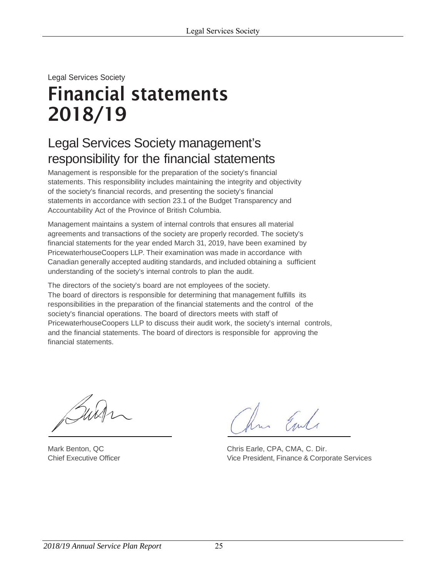# <span id="page-24-0"></span>Legal Services Society Financial statements 2018/19

# Legal Services Society management's responsibility for the financial statements

Management is responsible for the preparation of the society's financial statements. This responsibility includes maintaining the integrity and objectivity of the society's financial records, and presenting the society's financial statements in accordance with section 23.1 of the Budget Transparency and Accountability Act of the Province of British Columbia.

Management maintains a system of internal controls that ensures all material agreements and transactions of the society are properly recorded. The society's financial statements for the year ended March 31, 2019, have been examined by PricewaterhouseCoopers LLP. Their examination was made in accordance with Canadian generally accepted auditing standards, and included obtaining a sufficient understanding of the society's internal controls to plan the audit.

The directors of the society's board are not employees of the society. The board of directors is responsible for determining that management fulfills its responsibilities in the preparation of the financial statements and the control of the society's financial operations. The board of directors meets with staff of PricewaterhouseCoopers LLP to discuss their audit work, the society's internal controls, and the financial statements. The board of directors is responsible for approving the financial statements.

hm Emle

Mark Benton, QC **Chris Early Chris Earle, CPA, CMA, C. Dir.** Chief Executive Officer Vice President, Finance & Corporate Services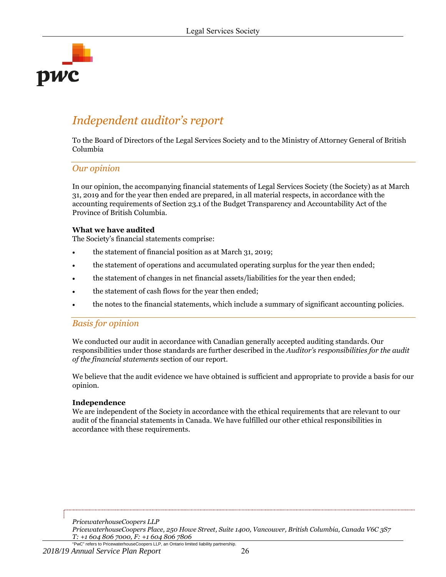

# *Independent auditor's report*

To the Board of Directors of the Legal Services Society and to the Ministry of Attorney General of British Columbia

#### *Our opinion*

In our opinion, the accompanying financial statements of Legal Services Society (the Society) as at March 31, 2019 and for the year then ended are prepared, in all material respects, in accordance with the accounting requirements of Section 23.1 of the Budget Transparency and Accountability Act of the Province of British Columbia.

#### **What we have audited**

The Society's financial statements comprise:

- the statement of financial position as at March 31, 2019;
- the statement of operations and accumulated operating surplus for the year then ended;
- the statement of changes in net financial assets/liabilities for the year then ended;
- the statement of cash flows for the year then ended;
- the notes to the financial statements, which include a summary of significant accounting policies.

#### *Basis for opinion*

We conducted our audit in accordance with Canadian generally accepted auditing standards. Our responsibilities under those standards are further described in the *Auditor's responsibilities for the audit of the financial statements* section of our report.

We believe that the audit evidence we have obtained is sufficient and appropriate to provide a basis for our opinion.

#### **Independence**

We are independent of the Society in accordance with the ethical requirements that are relevant to our audit of the financial statements in Canada. We have fulfilled our other ethical responsibilities in accordance with these requirements.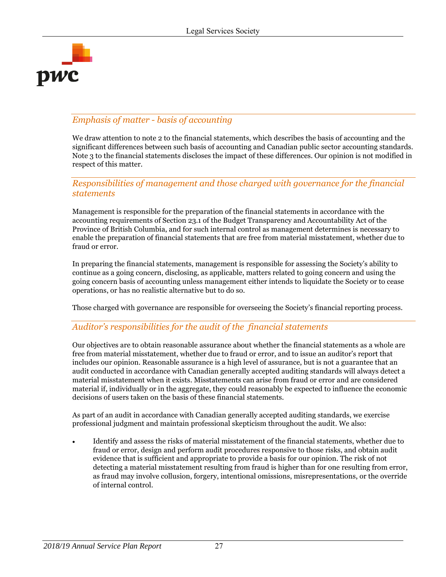

#### *Emphasis of matter - basis of accounting*

We draw attention to note 2 to the financial statements, which describes the basis of accounting and the significant differences between such basis of accounting and Canadian public sector accounting standards. Note 3 to the financial statements discloses the impact of these differences. Our opinion is not modified in respect of this matter.

#### *Responsibilities of management and those charged with governance for the financial statements*

Management is responsible for the preparation of the financial statements in accordance with the accounting requirements of Section 23.1 of the Budget Transparency and Accountability Act of the Province of British Columbia, and for such internal control as management determines is necessary to enable the preparation of financial statements that are free from material misstatement, whether due to fraud or error.

In preparing the financial statements, management is responsible for assessing the Society's ability to continue as a going concern, disclosing, as applicable, matters related to going concern and using the going concern basis of accounting unless management either intends to liquidate the Society or to cease operations, or has no realistic alternative but to do so.

Those charged with governance are responsible for overseeing the Society's financial reporting process.

#### *Auditor's responsibilities for the audit of the financial statements*

Our objectives are to obtain reasonable assurance about whether the financial statements as a whole are free from material misstatement, whether due to fraud or error, and to issue an auditor's report that includes our opinion. Reasonable assurance is a high level of assurance, but is not a guarantee that an audit conducted in accordance with Canadian generally accepted auditing standards will always detect a material misstatement when it exists. Misstatements can arise from fraud or error and are considered material if, individually or in the aggregate, they could reasonably be expected to influence the economic decisions of users taken on the basis of these financial statements.

As part of an audit in accordance with Canadian generally accepted auditing standards, we exercise professional judgment and maintain professional skepticism throughout the audit. We also:

 Identify and assess the risks of material misstatement of the financial statements, whether due to fraud or error, design and perform audit procedures responsive to those risks, and obtain audit evidence that is sufficient and appropriate to provide a basis for our opinion. The risk of not detecting a material misstatement resulting from fraud is higher than for one resulting from error, as fraud may involve collusion, forgery, intentional omissions, misrepresentations, or the override of internal control.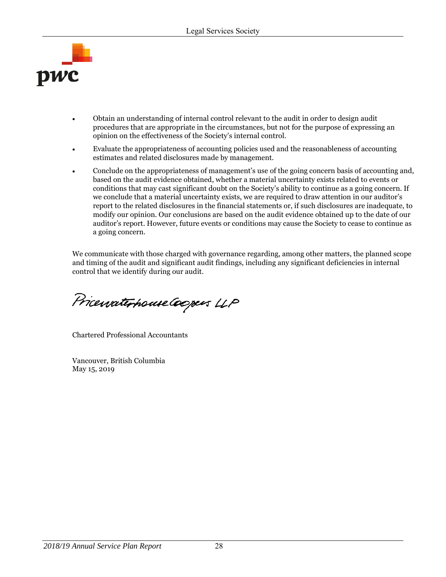

- Obtain an understanding of internal control relevant to the audit in order to design audit procedures that are appropriate in the circumstances, but not for the purpose of expressing an opinion on the effectiveness of the Society's internal control.
- Evaluate the appropriateness of accounting policies used and the reasonableness of accounting estimates and related disclosures made by management.
- Conclude on the appropriateness of management's use of the going concern basis of accounting and, based on the audit evidence obtained, whether a material uncertainty exists related to events or conditions that may cast significant doubt on the Society's ability to continue as a going concern. If we conclude that a material uncertainty exists, we are required to draw attention in our auditor's report to the related disclosures in the financial statements or, if such disclosures are inadequate, to modify our opinion. Our conclusions are based on the audit evidence obtained up to the date of our auditor's report. However, future events or conditions may cause the Society to cease to continue as a going concern.

We communicate with those charged with governance regarding, among other matters, the planned scope and timing of the audit and significant audit findings, including any significant deficiencies in internal control that we identify during our audit.

PricewaterhouseCoopers LLP

Chartered Professional Accountants

Vancouver, British Columbia May 15, 2019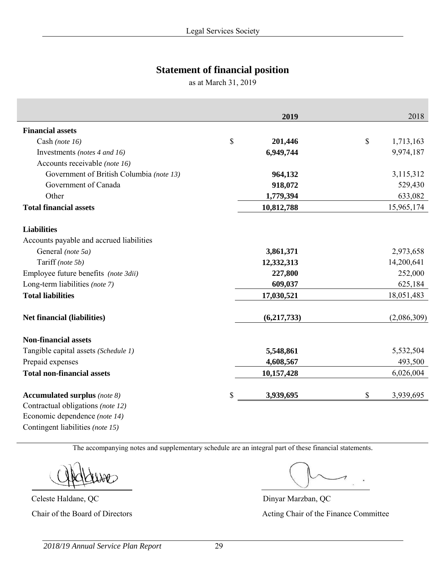# **Statement of financial position**

as at March 31, 2019

|                                          |              | 2019        | 2018            |
|------------------------------------------|--------------|-------------|-----------------|
| <b>Financial assets</b>                  |              |             |                 |
| Cash (note 16)                           | $\mathbb{S}$ | 201,446     | \$<br>1,713,163 |
| Investments (notes 4 and 16)             |              | 6,949,744   | 9,974,187       |
| Accounts receivable (note 16)            |              |             |                 |
| Government of British Columbia (note 13) |              | 964,132     | 3,115,312       |
| Government of Canada                     |              | 918,072     | 529,430         |
| Other                                    |              | 1,779,394   | 633,082         |
| <b>Total financial assets</b>            |              | 10,812,788  | 15,965,174      |
| <b>Liabilities</b>                       |              |             |                 |
| Accounts payable and accrued liabilities |              |             |                 |
| General (note 5a)                        |              | 3,861,371   | 2,973,658       |
| Tariff (note 5b)                         |              | 12,332,313  | 14,200,641      |
| Employee future benefits (note 3dii)     |              | 227,800     | 252,000         |
| Long-term liabilities (note 7)           |              | 609,037     | 625,184         |
| <b>Total liabilities</b>                 |              | 17,030,521  | 18,051,483      |
| <b>Net financial (liabilities)</b>       |              | (6,217,733) | (2,086,309)     |
| <b>Non-financial assets</b>              |              |             |                 |
| Tangible capital assets (Schedule 1)     |              | 5,548,861   | 5,532,504       |
| Prepaid expenses                         |              | 4,608,567   | 493,500         |
| <b>Total non-financial assets</b>        |              | 10,157,428  | 6,026,004       |
| <b>Accumulated surplus</b> (note 8)      | \$           | 3,939,695   | \$<br>3,939,695 |
| Contractual obligations (note 12)        |              |             |                 |
| Economic dependence (note 14)            |              |             |                 |

The accompanying notes and supplementary schedule are an integral part of these financial statements.

Contingent liabilities *(note 15)* 

Celeste Haldane, QC Dinyar Marzban, QC

Chair of the Board of Directors Acting Chair of the Finance Committee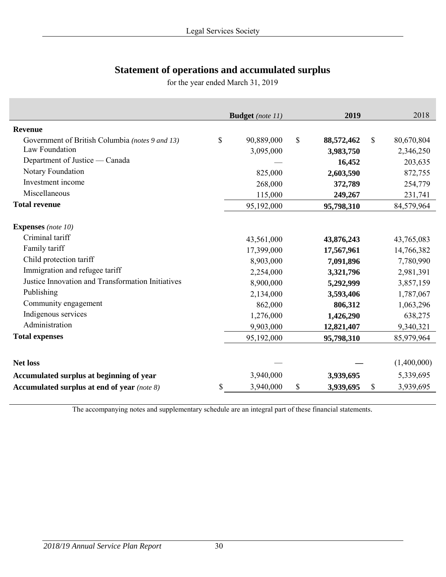# **Statement of operations and accumulated surplus**

for the year ended March 31, 2019

|                                                   | <b>Budget</b> (note 11) | 2019             |                           | 2018        |
|---------------------------------------------------|-------------------------|------------------|---------------------------|-------------|
|                                                   |                         |                  |                           |             |
| <b>Revenue</b>                                    |                         |                  |                           |             |
| Government of British Columbia (notes 9 and 13)   | \$<br>90,889,000        | \$<br>88,572,462 | $\boldsymbol{\mathsf{S}}$ | 80,670,804  |
| Law Foundation                                    | 3,095,000               | 3,983,750        |                           | 2,346,250   |
| Department of Justice — Canada                    |                         | 16,452           |                           | 203,635     |
| Notary Foundation                                 | 825,000                 | 2,603,590        |                           | 872,755     |
| Investment income                                 | 268,000                 | 372,789          |                           | 254,779     |
| Miscellaneous                                     | 115,000                 | 249,267          |                           | 231,741     |
| <b>Total revenue</b>                              | 95,192,000              | 95,798,310       |                           | 84,579,964  |
| <b>Expenses</b> (note 10)                         |                         |                  |                           |             |
| Criminal tariff                                   | 43,561,000              | 43,876,243       |                           | 43,765,083  |
| Family tariff                                     | 17,399,000              | 17,567,961       |                           | 14,766,382  |
| Child protection tariff                           | 8,903,000               | 7,091,896        |                           | 7,780,990   |
| Immigration and refugee tariff                    | 2,254,000               | 3,321,796        |                           | 2,981,391   |
| Justice Innovation and Transformation Initiatives | 8,900,000               | 5,292,999        |                           | 3,857,159   |
| Publishing                                        | 2,134,000               | 3,593,406        |                           | 1,787,067   |
| Community engagement                              | 862,000                 | 806,312          |                           | 1,063,296   |
| Indigenous services                               | 1,276,000               | 1,426,290        |                           | 638,275     |
| Administration                                    | 9,903,000               | 12,821,407       |                           | 9,340,321   |
| <b>Total expenses</b>                             | 95,192,000              | 95,798,310       |                           | 85,979,964  |
|                                                   |                         |                  |                           |             |
| <b>Net loss</b>                                   |                         |                  |                           | (1,400,000) |
| Accumulated surplus at beginning of year          | 3,940,000               | 3,939,695        |                           | 5,339,695   |
| Accumulated surplus at end of year (note 8)       | \$<br>3,940,000         | \$<br>3,939,695  | \$                        | 3,939,695   |

The accompanying notes and supplementary schedule are an integral part of these financial statements.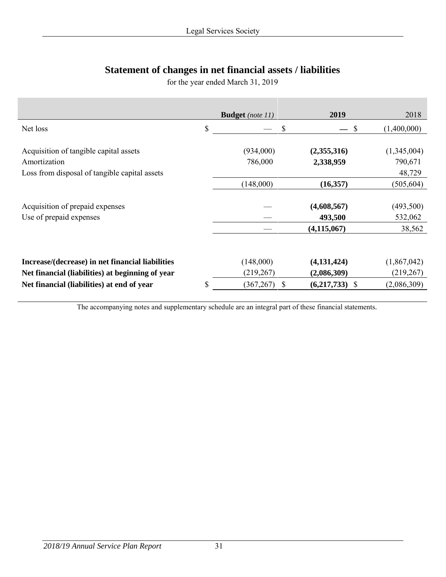# **Statement of changes in net financial assets / liabilities**

for the year ended March 31, 2019

|                                                                                                         | <b>Budget</b> (note 11) | 2019                     | 2018                             |
|---------------------------------------------------------------------------------------------------------|-------------------------|--------------------------|----------------------------------|
| Net loss                                                                                                | \$<br>\$                | <sup>S</sup>             | (1,400,000)                      |
| Acquisition of tangible capital assets<br>Amortization<br>Loss from disposal of tangible capital assets | (934,000)<br>786,000    | (2,355,316)<br>2,338,959 | (1,345,004)<br>790,671<br>48,729 |
|                                                                                                         | (148,000)               | (16,357)                 | (505, 604)                       |
| Acquisition of prepaid expenses<br>Use of prepaid expenses                                              |                         | (4,608,567)<br>493,500   | (493,500)<br>532,062             |
|                                                                                                         |                         | (4, 115, 067)            | 38,562                           |
|                                                                                                         |                         |                          |                                  |
| Increase/(decrease) in net financial liabilities                                                        | (148,000)               | (4,131,424)              | (1,867,042)                      |
| Net financial (liabilities) at beginning of year                                                        | (219, 267)              | (2,086,309)              | (219, 267)                       |
| Net financial (liabilities) at end of year                                                              | \$<br>(367, 267)<br>S   | $(6,217,733)$ \$         | (2,086,309)                      |

The accompanying notes and supplementary schedule are an integral part of these financial statements.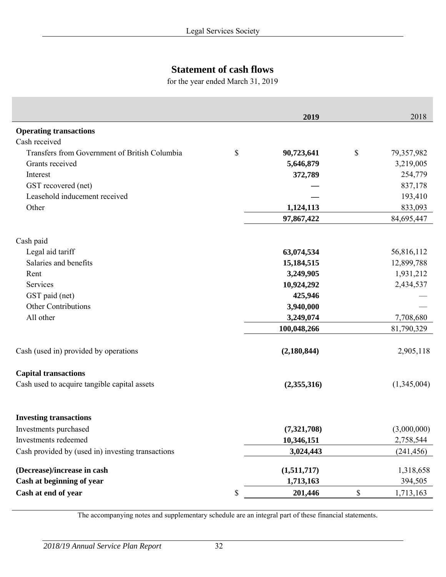# **Statement of cash flows**

for the year ended March 31, 2019

| <b>Operating transactions</b><br>Cash received<br>Transfers from Government of British Columbia<br>\$<br>\$<br>79,357,982<br>90,723,641<br>Grants received<br>5,646,879<br>3,219,005<br>372,789<br>Interest<br>GST recovered (net)<br>Leasehold inducement received<br>Other<br>1,124,113<br>97,867,422<br>Cash paid<br>Legal aid tariff<br>63,074,534<br>56,816,112<br>Salaries and benefits<br>15,184,515<br>12,899,788<br>3,249,905<br>1,931,212<br>Rent<br>Services<br>10,924,292<br>2,434,537<br>GST paid (net)<br>425,946<br><b>Other Contributions</b><br>3,940,000<br>All other<br>3,249,074<br>100,048,266<br>Cash (used in) provided by operations<br>(2, 180, 844)<br><b>Capital transactions</b> |                                              | 2019        | 2018        |
|--------------------------------------------------------------------------------------------------------------------------------------------------------------------------------------------------------------------------------------------------------------------------------------------------------------------------------------------------------------------------------------------------------------------------------------------------------------------------------------------------------------------------------------------------------------------------------------------------------------------------------------------------------------------------------------------------------------|----------------------------------------------|-------------|-------------|
|                                                                                                                                                                                                                                                                                                                                                                                                                                                                                                                                                                                                                                                                                                              |                                              |             |             |
|                                                                                                                                                                                                                                                                                                                                                                                                                                                                                                                                                                                                                                                                                                              |                                              |             |             |
|                                                                                                                                                                                                                                                                                                                                                                                                                                                                                                                                                                                                                                                                                                              |                                              |             |             |
|                                                                                                                                                                                                                                                                                                                                                                                                                                                                                                                                                                                                                                                                                                              |                                              |             |             |
|                                                                                                                                                                                                                                                                                                                                                                                                                                                                                                                                                                                                                                                                                                              |                                              |             | 254,779     |
|                                                                                                                                                                                                                                                                                                                                                                                                                                                                                                                                                                                                                                                                                                              |                                              |             | 837,178     |
|                                                                                                                                                                                                                                                                                                                                                                                                                                                                                                                                                                                                                                                                                                              |                                              |             | 193,410     |
|                                                                                                                                                                                                                                                                                                                                                                                                                                                                                                                                                                                                                                                                                                              |                                              |             | 833,093     |
|                                                                                                                                                                                                                                                                                                                                                                                                                                                                                                                                                                                                                                                                                                              |                                              |             | 84,695,447  |
|                                                                                                                                                                                                                                                                                                                                                                                                                                                                                                                                                                                                                                                                                                              |                                              |             |             |
|                                                                                                                                                                                                                                                                                                                                                                                                                                                                                                                                                                                                                                                                                                              |                                              |             |             |
|                                                                                                                                                                                                                                                                                                                                                                                                                                                                                                                                                                                                                                                                                                              |                                              |             |             |
|                                                                                                                                                                                                                                                                                                                                                                                                                                                                                                                                                                                                                                                                                                              |                                              |             |             |
|                                                                                                                                                                                                                                                                                                                                                                                                                                                                                                                                                                                                                                                                                                              |                                              |             |             |
|                                                                                                                                                                                                                                                                                                                                                                                                                                                                                                                                                                                                                                                                                                              |                                              |             |             |
|                                                                                                                                                                                                                                                                                                                                                                                                                                                                                                                                                                                                                                                                                                              |                                              |             |             |
|                                                                                                                                                                                                                                                                                                                                                                                                                                                                                                                                                                                                                                                                                                              |                                              |             | 7,708,680   |
|                                                                                                                                                                                                                                                                                                                                                                                                                                                                                                                                                                                                                                                                                                              |                                              |             | 81,790,329  |
|                                                                                                                                                                                                                                                                                                                                                                                                                                                                                                                                                                                                                                                                                                              |                                              |             | 2,905,118   |
|                                                                                                                                                                                                                                                                                                                                                                                                                                                                                                                                                                                                                                                                                                              |                                              |             |             |
|                                                                                                                                                                                                                                                                                                                                                                                                                                                                                                                                                                                                                                                                                                              | Cash used to acquire tangible capital assets | (2,355,316) | (1,345,004) |
| <b>Investing transactions</b>                                                                                                                                                                                                                                                                                                                                                                                                                                                                                                                                                                                                                                                                                |                                              |             |             |
| Investments purchased<br>(7,321,708)                                                                                                                                                                                                                                                                                                                                                                                                                                                                                                                                                                                                                                                                         |                                              |             | (3,000,000) |
| Investments redeemed<br>10,346,151                                                                                                                                                                                                                                                                                                                                                                                                                                                                                                                                                                                                                                                                           |                                              |             | 2,758,544   |
| Cash provided by (used in) investing transactions<br>3,024,443                                                                                                                                                                                                                                                                                                                                                                                                                                                                                                                                                                                                                                               |                                              |             | (241, 456)  |
| (Decrease)/increase in cash<br>(1,511,717)                                                                                                                                                                                                                                                                                                                                                                                                                                                                                                                                                                                                                                                                   |                                              |             | 1,318,658   |
| Cash at beginning of year<br>1,713,163                                                                                                                                                                                                                                                                                                                                                                                                                                                                                                                                                                                                                                                                       |                                              |             | 394,505     |
| Cash at end of year<br>\$<br>201,446<br>\$                                                                                                                                                                                                                                                                                                                                                                                                                                                                                                                                                                                                                                                                   |                                              |             | 1,713,163   |

The accompanying notes and supplementary schedule are an integral part of these financial statements.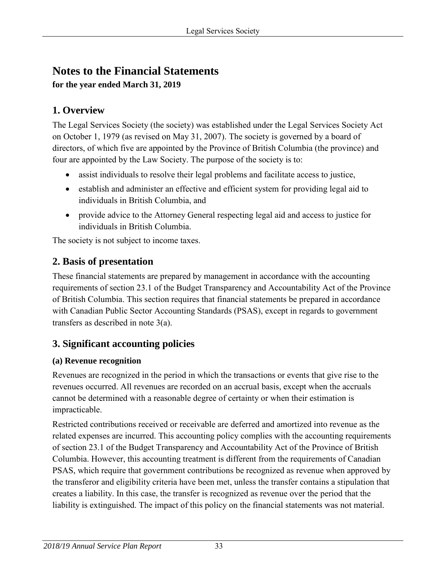# **Notes to the Financial Statements**

**for the year ended March 31, 2019** 

# **1. Overview**

The Legal Services Society (the society) was established under the Legal Services Society Act on October 1, 1979 (as revised on May 31, 2007). The society is governed by a board of directors, of which five are appointed by the Province of British Columbia (the province) and four are appointed by the Law Society. The purpose of the society is to:

- assist individuals to resolve their legal problems and facilitate access to justice,
- establish and administer an effective and efficient system for providing legal aid to individuals in British Columbia, and
- provide advice to the Attorney General respecting legal aid and access to justice for individuals in British Columbia.

The society is not subject to income taxes.

# **2. Basis of presentation**

These financial statements are prepared by management in accordance with the accounting requirements of section 23.1 of the Budget Transparency and Accountability Act of the Province of British Columbia. This section requires that financial statements be prepared in accordance with Canadian Public Sector Accounting Standards (PSAS), except in regards to government transfers as described in note 3(a).

# **3. Significant accounting policies**

# **(a) Revenue recognition**

Revenues are recognized in the period in which the transactions or events that give rise to the revenues occurred. All revenues are recorded on an accrual basis, except when the accruals cannot be determined with a reasonable degree of certainty or when their estimation is impracticable.

Restricted contributions received or receivable are deferred and amortized into revenue as the related expenses are incurred. This accounting policy complies with the accounting requirements of section 23.1 of the Budget Transparency and Accountability Act of the Province of British Columbia. However, this accounting treatment is different from the requirements of Canadian PSAS, which require that government contributions be recognized as revenue when approved by the transferor and eligibility criteria have been met, unless the transfer contains a stipulation that creates a liability. In this case, the transfer is recognized as revenue over the period that the liability is extinguished. The impact of this policy on the financial statements was not material.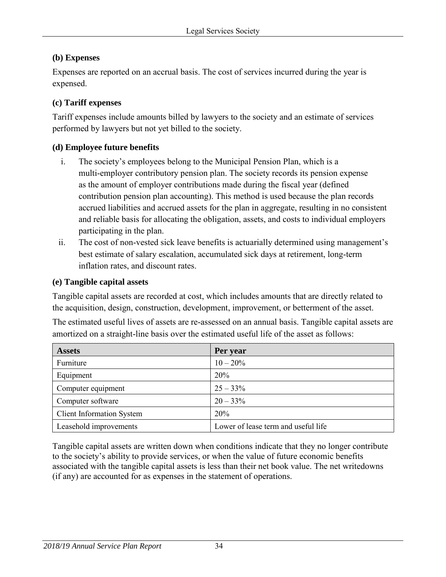### **(b) Expenses**

Expenses are reported on an accrual basis. The cost of services incurred during the year is expensed.

#### **(c) Tariff expenses**

Tariff expenses include amounts billed by lawyers to the society and an estimate of services performed by lawyers but not yet billed to the society.

### **(d) Employee future benefits**

- i. The society's employees belong to the Municipal Pension Plan, which is a multi-employer contributory pension plan. The society records its pension expense as the amount of employer contributions made during the fiscal year (defined contribution pension plan accounting). This method is used because the plan records accrued liabilities and accrued assets for the plan in aggregate, resulting in no consistent and reliable basis for allocating the obligation, assets, and costs to individual employers participating in the plan.
- ii. The cost of non-vested sick leave benefits is actuarially determined using management's best estimate of salary escalation, accumulated sick days at retirement, long-term inflation rates, and discount rates.

#### **(e) Tangible capital assets**

Tangible capital assets are recorded at cost, which includes amounts that are directly related to the acquisition, design, construction, development, improvement, or betterment of the asset.

The estimated useful lives of assets are re-assessed on an annual basis. Tangible capital assets are amortized on a straight-line basis over the estimated useful life of the asset as follows:

| <b>Assets</b>                    | Per year                            |
|----------------------------------|-------------------------------------|
| Furniture                        | $10 - 20\%$                         |
| Equipment                        | <b>20%</b>                          |
| Computer equipment               | $25 - 33\%$                         |
| Computer software                | $20 - 33\%$                         |
| <b>Client Information System</b> | 20%                                 |
| Leasehold improvements           | Lower of lease term and useful life |

Tangible capital assets are written down when conditions indicate that they no longer contribute to the society's ability to provide services, or when the value of future economic benefits associated with the tangible capital assets is less than their net book value. The net writedowns (if any) are accounted for as expenses in the statement of operations.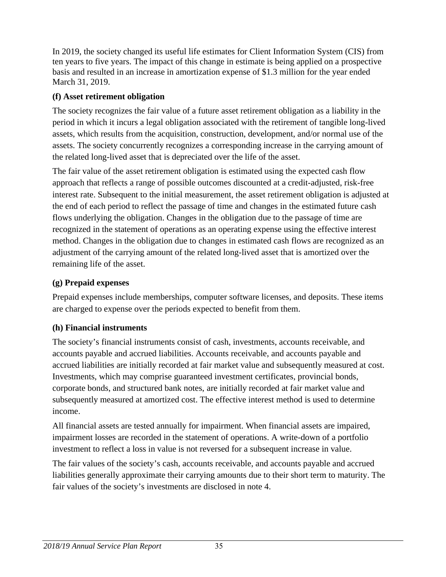In 2019, the society changed its useful life estimates for Client Information System (CIS) from ten years to five years. The impact of this change in estimate is being applied on a prospective basis and resulted in an increase in amortization expense of \$1.3 million for the year ended March 31, 2019.

### **(f) Asset retirement obligation**

The society recognizes the fair value of a future asset retirement obligation as a liability in the period in which it incurs a legal obligation associated with the retirement of tangible long-lived assets, which results from the acquisition, construction, development, and/or normal use of the assets. The society concurrently recognizes a corresponding increase in the carrying amount of the related long-lived asset that is depreciated over the life of the asset.

The fair value of the asset retirement obligation is estimated using the expected cash flow approach that reflects a range of possible outcomes discounted at a credit-adjusted, risk-free interest rate. Subsequent to the initial measurement, the asset retirement obligation is adjusted at the end of each period to reflect the passage of time and changes in the estimated future cash flows underlying the obligation. Changes in the obligation due to the passage of time are recognized in the statement of operations as an operating expense using the effective interest method. Changes in the obligation due to changes in estimated cash flows are recognized as an adjustment of the carrying amount of the related long-lived asset that is amortized over the remaining life of the asset.

### **(g) Prepaid expenses**

Prepaid expenses include memberships, computer software licenses, and deposits. These items are charged to expense over the periods expected to benefit from them.

## **(h) Financial instruments**

The society's financial instruments consist of cash, investments, accounts receivable, and accounts payable and accrued liabilities. Accounts receivable, and accounts payable and accrued liabilities are initially recorded at fair market value and subsequently measured at cost. Investments, which may comprise guaranteed investment certificates, provincial bonds, corporate bonds, and structured bank notes, are initially recorded at fair market value and subsequently measured at amortized cost. The effective interest method is used to determine income.

All financial assets are tested annually for impairment. When financial assets are impaired, impairment losses are recorded in the statement of operations. A write-down of a portfolio investment to reflect a loss in value is not reversed for a subsequent increase in value.

The fair values of the society's cash, accounts receivable, and accounts payable and accrued liabilities generally approximate their carrying amounts due to their short term to maturity. The fair values of the society's investments are disclosed in note 4.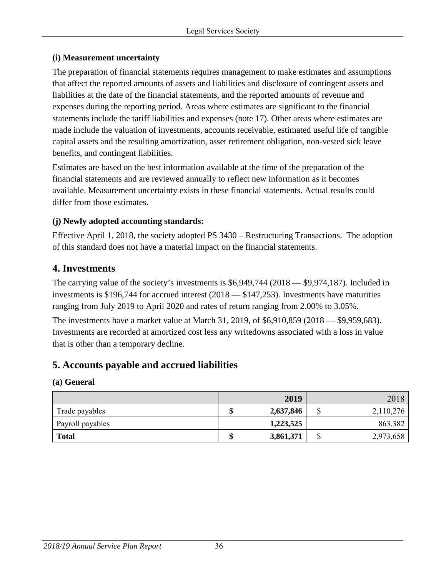#### **(i) Measurement uncertainty**

The preparation of financial statements requires management to make estimates and assumptions that affect the reported amounts of assets and liabilities and disclosure of contingent assets and liabilities at the date of the financial statements, and the reported amounts of revenue and expenses during the reporting period. Areas where estimates are significant to the financial statements include the tariff liabilities and expenses (note 17). Other areas where estimates are made include the valuation of investments, accounts receivable, estimated useful life of tangible capital assets and the resulting amortization, asset retirement obligation, non-vested sick leave benefits, and contingent liabilities.

Estimates are based on the best information available at the time of the preparation of the financial statements and are reviewed annually to reflect new information as it becomes available. Measurement uncertainty exists in these financial statements. Actual results could differ from those estimates.

### **(j) Newly adopted accounting standards:**

Effective April 1, 2018, the society adopted PS 3430 – Restructuring Transactions. The adoption of this standard does not have a material impact on the financial statements.

# **4. Investments**

The carrying value of the society's investments is \$6,949,744 (2018 — \$9,974,187). Included in investments is \$196,744 for accrued interest (2018 — \$147,253). Investments have maturities ranging from July 2019 to April 2020 and rates of return ranging from 2.00% to 3.05%.

The investments have a market value at March 31, 2019, of \$6,910,859 (2018 — \$9,959,683). Investments are recorded at amortized cost less any writedowns associated with a loss in value that is other than a temporary decline.

# **5. Accounts payable and accrued liabilities**

#### **(a) General**

|                  | 2019      |        | 2018      |
|------------------|-----------|--------|-----------|
| Trade payables   | 2,637,846 | ጦ<br>Φ | 2,110,276 |
| Payroll payables | 1,223,525 |        | 863,382   |
| <b>Total</b>     | 3,861,371 | ጦ<br>Φ | 2,973,658 |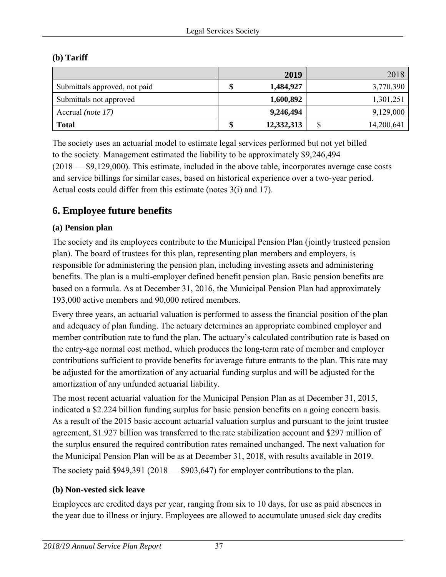#### **(b) Tariff**

|                               | 2019             | 2018             |
|-------------------------------|------------------|------------------|
| Submittals approved, not paid | 1,484,927        | 3,770,390        |
| Submittals not approved       | 1,600,892        | 1,301,251        |
| Accrual (note 17)             | 9,246,494        | 9,129,000        |
| <b>Total</b>                  | \$<br>12,332,313 | \$<br>14,200,641 |

The society uses an actuarial model to estimate legal services performed but not yet billed to the society. Management estimated the liability to be approximately \$9,246,494 (2018 — \$9,129,000). This estimate, included in the above table, incorporates average case costs and service billings for similar cases, based on historical experience over a two-year period. Actual costs could differ from this estimate (notes 3(i) and 17).

# **6. Employee future benefits**

### **(a) Pension plan**

The society and its employees contribute to the Municipal Pension Plan (jointly trusteed pension plan). The board of trustees for this plan, representing plan members and employers, is responsible for administering the pension plan, including investing assets and administering benefits. The plan is a multi-employer defined benefit pension plan. Basic pension benefits are based on a formula. As at December 31, 2016, the Municipal Pension Plan had approximately 193,000 active members and 90,000 retired members.

Every three years, an actuarial valuation is performed to assess the financial position of the plan and adequacy of plan funding. The actuary determines an appropriate combined employer and member contribution rate to fund the plan. The actuary's calculated contribution rate is based on the entry-age normal cost method, which produces the long-term rate of member and employer contributions sufficient to provide benefits for average future entrants to the plan. This rate may be adjusted for the amortization of any actuarial funding surplus and will be adjusted for the amortization of any unfunded actuarial liability.

The most recent actuarial valuation for the Municipal Pension Plan as at December 31, 2015, indicated a \$2.224 billion funding surplus for basic pension benefits on a going concern basis. As a result of the 2015 basic account actuarial valuation surplus and pursuant to the joint trustee agreement, \$1.927 billion was transferred to the rate stabilization account and \$297 million of the surplus ensured the required contribution rates remained unchanged. The next valuation for the Municipal Pension Plan will be as at December 31, 2018, with results available in 2019. The society paid  $$949,391 (2018 - $903,647)$  for employer contributions to the plan.

#### **(b) Non-vested sick leave**

Employees are credited days per year, ranging from six to 10 days, for use as paid absences in the year due to illness or injury. Employees are allowed to accumulate unused sick day credits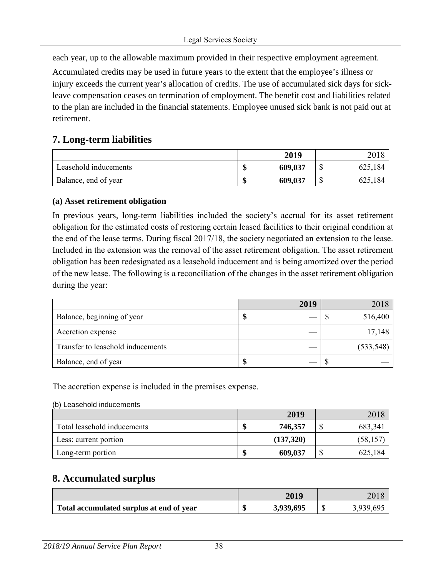each year, up to the allowable maximum provided in their respective employment agreement.

Accumulated credits may be used in future years to the extent that the employee's illness or injury exceeds the current year's allocation of credits. The use of accumulated sick days for sickleave compensation ceases on termination of employment. The benefit cost and liabilities related to the plan are included in the financial statements. Employee unused sick bank is not paid out at retirement.

# **7. Long-term liabilities**

|                       | 2019          |               |
|-----------------------|---------------|---------------|
| Leasehold inducements | 609,037<br>۱D | 625,184       |
| Balance, end of year  | 609,037<br>۱D | 625,184<br>۵U |

#### **(a) Asset retirement obligation**

In previous years, long-term liabilities included the society's accrual for its asset retirement obligation for the estimated costs of restoring certain leased facilities to their original condition at the end of the lease terms. During fiscal 2017/18, the society negotiated an extension to the lease. Included in the extension was the removal of the asset retirement obligation. The asset retirement obligation has been redesignated as a leasehold inducement and is being amortized over the period of the new lease. The following is a reconciliation of the changes in the asset retirement obligation during the year:

|                                   | 2019 | 2018       |
|-----------------------------------|------|------------|
| Balance, beginning of year        |      | 516,400    |
| Accretion expense                 |      | 17,148     |
| Transfer to leasehold inducements |      | (533, 548) |
| Balance, end of year              |      |            |

The accretion expense is included in the premises expense.

#### (b) Leasehold inducements

|                             |         | 2019      | 2018      |
|-----------------------------|---------|-----------|-----------|
| Total leasehold inducements | АD      | 746,357   | 683,341   |
| Less: current portion       |         | (137,320) | (58, 157) |
| Long-term portion           | ď<br>٨D | 609,037   | 625,184   |

## **8. Accumulated surplus**

|                                          | 2019      | 2018      |
|------------------------------------------|-----------|-----------|
| Total accumulated surplus at end of year | 3,939,695 | 3,939,695 |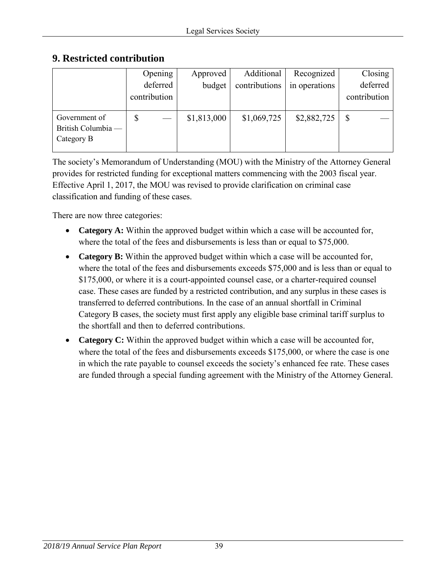## **9. Restricted contribution**

|                    | Opening      | Approved    | Additional    | Recognized    | Closing      |
|--------------------|--------------|-------------|---------------|---------------|--------------|
|                    | deferred     | budget      | contributions | in operations | deferred     |
|                    | contribution |             |               |               | contribution |
|                    |              |             |               |               |              |
| Government of      | D            | \$1,813,000 | \$1,069,725   | \$2,882,725   |              |
| British Columbia - |              |             |               |               |              |
| Category B         |              |             |               |               |              |
|                    |              |             |               |               |              |

The society's Memorandum of Understanding (MOU) with the Ministry of the Attorney General provides for restricted funding for exceptional matters commencing with the 2003 fiscal year. Effective April 1, 2017, the MOU was revised to provide clarification on criminal case classification and funding of these cases.

There are now three categories:

- **Category A:** Within the approved budget within which a case will be accounted for, where the total of the fees and disbursements is less than or equal to \$75,000.
- **Category B:** Within the approved budget within which a case will be accounted for, where the total of the fees and disbursements exceeds \$75,000 and is less than or equal to \$175,000, or where it is a court-appointed counsel case, or a charter-required counsel case. These cases are funded by a restricted contribution, and any surplus in these cases is transferred to deferred contributions. In the case of an annual shortfall in Criminal Category B cases, the society must first apply any eligible base criminal tariff surplus to the shortfall and then to deferred contributions.
- **Category C:** Within the approved budget within which a case will be accounted for, where the total of the fees and disbursements exceeds \$175,000, or where the case is one in which the rate payable to counsel exceeds the society's enhanced fee rate. These cases are funded through a special funding agreement with the Ministry of the Attorney General.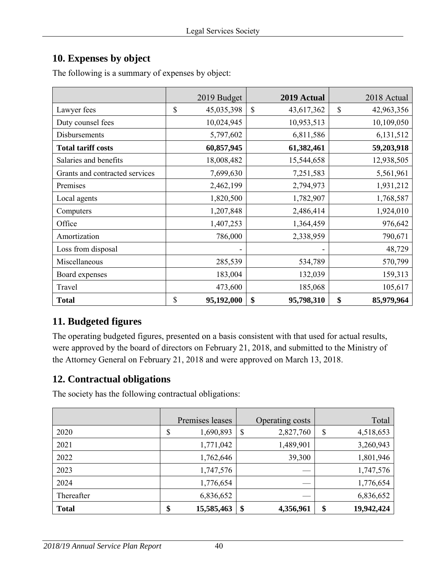# **10. Expenses by object**

|                                | 2019 Budget      | 2019 Actual      | 2018 Actual      |
|--------------------------------|------------------|------------------|------------------|
| Lawyer fees                    | \$<br>45,035,398 | \$<br>43,617,362 | \$<br>42,963,356 |
| Duty counsel fees              | 10,024,945       | 10,953,513       | 10,109,050       |
| Disbursements                  | 5,797,602        | 6,811,586        | 6,131,512        |
| <b>Total tariff costs</b>      | 60,857,945       | 61,382,461       | 59,203,918       |
| Salaries and benefits          | 18,008,482       | 15,544,658       | 12,938,505       |
| Grants and contracted services | 7,699,630        | 7,251,583        | 5,561,961        |
| Premises                       | 2,462,199        | 2,794,973        | 1,931,212        |
| Local agents                   | 1,820,500        | 1,782,907        | 1,768,587        |
| Computers                      | 1,207,848        | 2,486,414        | 1,924,010        |
| Office                         | 1,407,253        | 1,364,459        | 976,642          |
| Amortization                   | 786,000          | 2,338,959        | 790,671          |
| Loss from disposal             |                  |                  | 48,729           |
| Miscellaneous                  | 285,539          | 534,789          | 570,799          |
| Board expenses                 | 183,004          | 132,039          | 159,313          |
| Travel                         | 473,600          | 185,068          | 105,617          |
| <b>Total</b>                   | \$<br>95,192,000 | \$<br>95,798,310 | \$<br>85,979,964 |

The following is a summary of expenses by object:

# **11. Budgeted figures**

The operating budgeted figures, presented on a basis consistent with that used for actual results, were approved by the board of directors on February 21, 2018, and submitted to the Ministry of the Attorney General on February 21, 2018 and were approved on March 13, 2018.

# **12. Contractual obligations**

The society has the following contractual obligations:

|              | Premises leases  | Operating costs | Total            |
|--------------|------------------|-----------------|------------------|
| 2020         | \$<br>1,690,893  | \$<br>2,827,760 | \$<br>4,518,653  |
| 2021         | 1,771,042        | 1,489,901       | 3,260,943        |
| 2022         | 1,762,646        | 39,300          | 1,801,946        |
| 2023         | 1,747,576        | ___             | 1,747,576        |
| 2024         | 1,776,654        |                 | 1,776,654        |
| Thereafter   | 6,836,652        |                 | 6,836,652        |
| <b>Total</b> | \$<br>15,585,463 | \$<br>4,356,961 | \$<br>19,942,424 |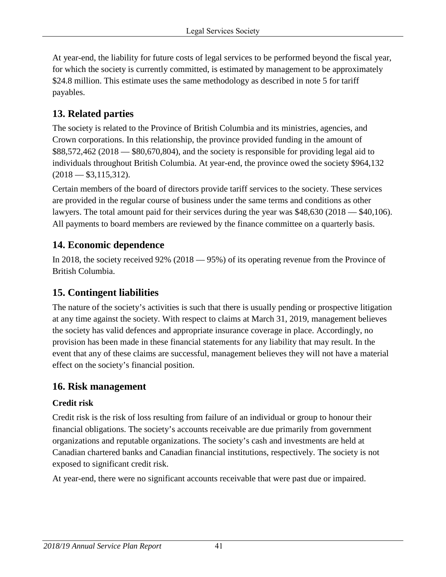At year-end, the liability for future costs of legal services to be performed beyond the fiscal year, for which the society is currently committed, is estimated by management to be approximately \$24.8 million. This estimate uses the same methodology as described in note 5 for tariff payables.

# **13. Related parties**

The society is related to the Province of British Columbia and its ministries, agencies, and Crown corporations. In this relationship, the province provided funding in the amount of \$88,572,462 (2018 — \$80,670,804), and the society is responsible for providing legal aid to individuals throughout British Columbia. At year-end, the province owed the society \$964,132  $(2018 - $3,115,312).$ 

Certain members of the board of directors provide tariff services to the society. These services are provided in the regular course of business under the same terms and conditions as other lawyers. The total amount paid for their services during the year was \$48,630 (2018 — \$40,106). All payments to board members are reviewed by the finance committee on a quarterly basis.

# **14. Economic dependence**

In 2018, the society received 92% (2018 — 95%) of its operating revenue from the Province of British Columbia.

# **15. Contingent liabilities**

The nature of the society's activities is such that there is usually pending or prospective litigation at any time against the society. With respect to claims at March 31, 2019, management believes the society has valid defences and appropriate insurance coverage in place. Accordingly, no provision has been made in these financial statements for any liability that may result. In the event that any of these claims are successful, management believes they will not have a material effect on the society's financial position.

## **16. Risk management**

### **Credit risk**

Credit risk is the risk of loss resulting from failure of an individual or group to honour their financial obligations. The society's accounts receivable are due primarily from government organizations and reputable organizations. The society's cash and investments are held at Canadian chartered banks and Canadian financial institutions, respectively. The society is not exposed to significant credit risk.

At year-end, there were no significant accounts receivable that were past due or impaired.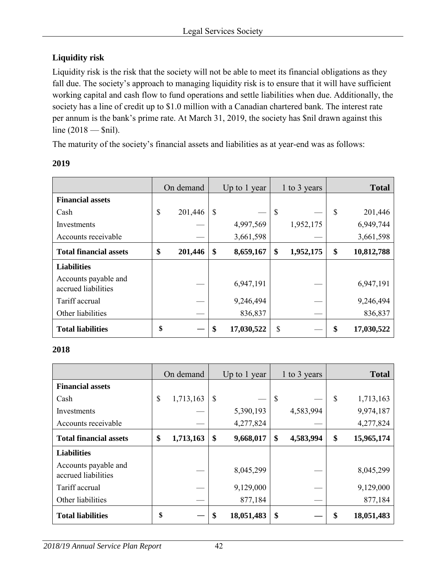## **Liquidity risk**

Liquidity risk is the risk that the society will not be able to meet its financial obligations as they fall due. The society's approach to managing liquidity risk is to ensure that it will have sufficient working capital and cash flow to fund operations and settle liabilities when due. Additionally, the society has a line of credit up to \$1.0 million with a Canadian chartered bank. The interest rate per annum is the bank's prime rate. At March 31, 2019, the society has \$nil drawn against this line (2018 — \$nil).

The maturity of the society's financial assets and liabilities as at year-end was as follows:

| 2019 |  |  |
|------|--|--|
|      |  |  |

|                                             | On demand |         | Up to 1 year |            | 1 to 3 years |           |              | <b>Total</b> |
|---------------------------------------------|-----------|---------|--------------|------------|--------------|-----------|--------------|--------------|
| <b>Financial assets</b>                     |           |         |              |            |              |           |              |              |
| Cash                                        | \$        | 201,446 | \$           |            | \$           |           | $\mathbb{S}$ | 201,446      |
| Investments                                 |           |         |              | 4,997,569  |              | 1,952,175 |              | 6,949,744    |
| Accounts receivable                         |           |         |              | 3,661,598  |              |           |              | 3,661,598    |
| <b>Total financial assets</b>               | \$        | 201,446 | \$           | 8,659,167  | \$           | 1,952,175 | \$           | 10,812,788   |
| <b>Liabilities</b>                          |           |         |              |            |              |           |              |              |
| Accounts payable and<br>accrued liabilities |           |         |              | 6,947,191  |              |           |              | 6,947,191    |
| Tariff accrual                              |           |         |              | 9,246,494  |              |           |              | 9,246,494    |
| Other liabilities                           |           |         |              | 836,837    |              |           |              | 836,837      |
| <b>Total liabilities</b>                    | \$        |         | \$           | 17,030,522 | \$           |           | \$           | 17,030,522   |

#### **2018**

|                                             | On demand |           | Up to 1 year |            | 1 to 3 years |           | <b>Total</b>     |
|---------------------------------------------|-----------|-----------|--------------|------------|--------------|-----------|------------------|
| <b>Financial assets</b>                     |           |           |              |            |              |           |                  |
| Cash                                        | \$        | 1,713,163 | \$           |            | $\mathbb{S}$ |           | \$<br>1,713,163  |
| Investments                                 |           |           |              | 5,390,193  |              | 4,583,994 | 9,974,187        |
| Accounts receivable                         |           |           |              | 4,277,824  |              |           | 4,277,824        |
| <b>Total financial assets</b>               | \$        | 1,713,163 | \$           | 9,668,017  | \$           | 4,583,994 | \$<br>15,965,174 |
| <b>Liabilities</b>                          |           |           |              |            |              |           |                  |
| Accounts payable and<br>accrued liabilities |           |           |              | 8,045,299  |              |           | 8,045,299        |
| Tariff accrual                              |           |           |              | 9,129,000  |              |           | 9,129,000        |
| Other liabilities                           |           |           |              | 877,184    |              |           | 877,184          |
| <b>Total liabilities</b>                    | \$        |           | \$           | 18,051,483 | \$           |           | \$<br>18,051,483 |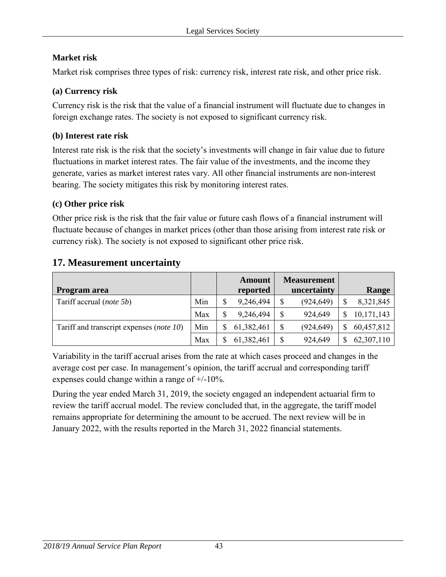### **Market risk**

Market risk comprises three types of risk: currency risk, interest rate risk, and other price risk.

### **(a) Currency risk**

Currency risk is the risk that the value of a financial instrument will fluctuate due to changes in foreign exchange rates. The society is not exposed to significant currency risk.

### **(b) Interest rate risk**

Interest rate risk is the risk that the society's investments will change in fair value due to future fluctuations in market interest rates. The fair value of the investments, and the income they generate, varies as market interest rates vary. All other financial instruments are non-interest bearing. The society mitigates this risk by monitoring interest rates.

### **(c) Other price risk**

Other price risk is the risk that the fair value or future cash flows of a financial instrument will fluctuate because of changes in market prices (other than those arising from interest rate risk or currency risk). The society is not exposed to significant other price risk.

## **17. Measurement uncertainty**

| <b>Program area</b>                      |     | Amount<br>reported | <b>Measurement</b><br>uncertainty | Range           |
|------------------------------------------|-----|--------------------|-----------------------------------|-----------------|
| Tariff accrual (note 5b)                 | Min | 9,246,494          | \$<br>(924, 649)                  | \$<br>8,321,845 |
|                                          | Max | 9,246,494          | \$<br>924,649                     | 10,171,143      |
| Tariff and transcript expenses (note 10) | Min | 61,382,461         | \$<br>(924, 649)                  | 60,457,812      |
|                                          | Max | 61,382,461         | \$<br>924,649                     | 62,307,110      |

Variability in the tariff accrual arises from the rate at which cases proceed and changes in the average cost per case. In management's opinion, the tariff accrual and corresponding tariff expenses could change within a range of +/-10%.

During the year ended March 31, 2019, the society engaged an independent actuarial firm to review the tariff accrual model. The review concluded that, in the aggregate, the tariff model remains appropriate for determining the amount to be accrued. The next review will be in January 2022, with the results reported in the March 31, 2022 financial statements.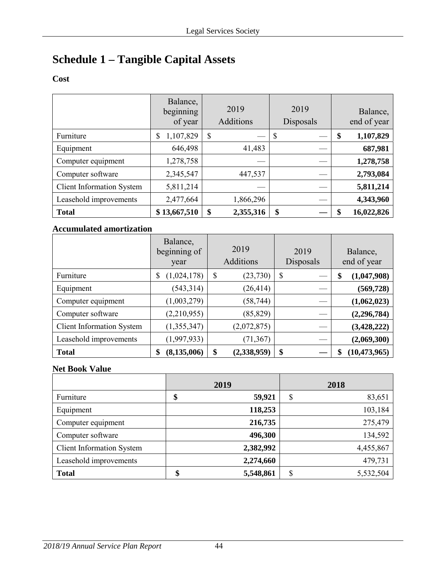# **Schedule 1 – Tangible Capital Assets**

### **Cost**

|                                  | Balance,<br>beginning<br>of year | 2019<br>Additions | 2019<br>Disposals | Balance,<br>end of year |
|----------------------------------|----------------------------------|-------------------|-------------------|-------------------------|
| Furniture                        | 1,107,829<br>\$                  | \$                | - \$              | \$<br>1,107,829         |
| Equipment                        | 646,498                          | 41,483            |                   | 687,981                 |
| Computer equipment               | 1,278,758                        |                   |                   | 1,278,758               |
| Computer software                | 2,345,547                        | 447,537           |                   | 2,793,084               |
| <b>Client Information System</b> | 5,811,214                        |                   |                   | 5,811,214               |
| Leasehold improvements           | 2,477,664                        | 1,866,296         |                   | 4,343,960               |
| <b>Total</b>                     | \$13,667,510                     | \$<br>2,355,316   | \$                | \$<br>16,022,826        |

#### **Accumulated amortization**

|                                  | Balance,<br>beginning of<br>year | 2019<br>Additions | 2019<br>Disposals | Balance,<br>end of year |
|----------------------------------|----------------------------------|-------------------|-------------------|-------------------------|
| Furniture                        | (1,024,178)<br>\$                | \$<br>(23, 730)   | \$                | (1,047,908)<br>\$       |
| Equipment                        | (543, 314)                       | (26, 414)         |                   | (569, 728)              |
| Computer equipment               | (1,003,279)                      | (58, 744)         |                   | (1,062,023)             |
| Computer software                | (2,210,955)                      | (85, 829)         |                   | (2, 296, 784)           |
| <b>Client Information System</b> | (1,355,347)                      | (2,072,875)       |                   | (3, 428, 222)           |
| Leasehold improvements           | (1,997,933)                      | (71, 367)         |                   | (2,069,300)             |
| <b>Total</b>                     | (8, 135, 006)<br>\$              | \$<br>(2,338,959) | \$                | (10, 473, 965)<br>S     |

#### **Net Book Value**

|                                  | 2019                | 2018            |
|----------------------------------|---------------------|-----------------|
| Furniture                        | 59,921<br>¢<br>Φ    | \$<br>83,651    |
| Equipment                        | 118,253             | 103,184         |
| Computer equipment               | 216,735             | 275,479         |
| Computer software                | 496,300             | 134,592         |
| <b>Client Information System</b> | 2,382,992           | 4,455,867       |
| Leasehold improvements           | 2,274,660           | 479,731         |
| <b>Total</b>                     | 5,548,861<br>¢<br>Œ | 5,532,504<br>\$ |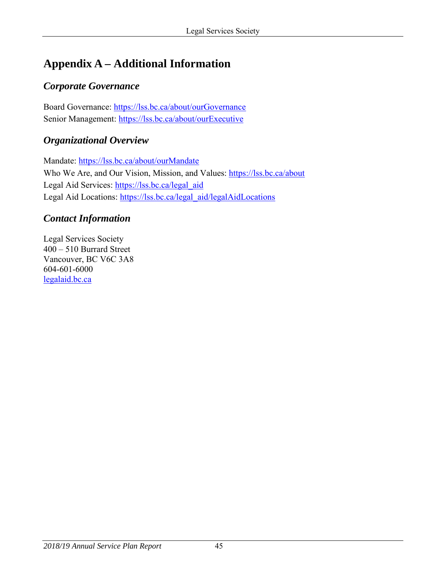# <span id="page-44-0"></span>**Appendix A – Additional Information**

# *Corporate Governance*

Board Governance:<https://lss.bc.ca/about/ourGovernance> Senior Management:<https://lss.bc.ca/about/ourExecutive>

# *Organizational Overview*

Mandate:<https://lss.bc.ca/about/ourMandate> Who We Are, and Our Vision, Mission, and Values:<https://lss.bc.ca/about> Legal Aid Services: [https://lss.bc.ca/legal\\_aid](https://lss.bc.ca/legal_aid) Legal Aid Locations: [https://lss.bc.ca/legal\\_aid/legalAidLocations](https://lss.bc.ca/legal_aid/legalAidLocations)

## *Contact Information*

Legal Services Society 400 – 510 Burrard Street Vancouver, BC V6C 3A8 604-601-6000 [legalaid.bc.ca](http://www.legalaid.bc.ca/)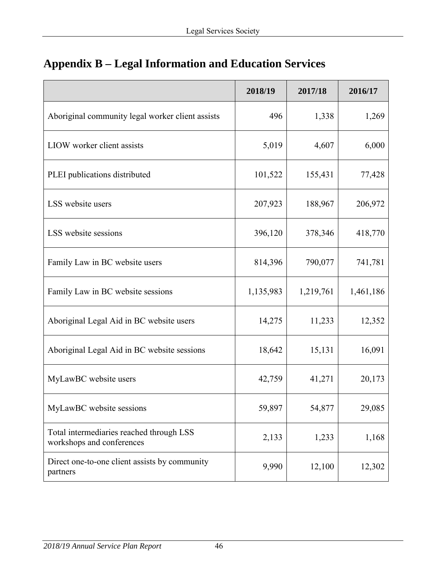|                                                                       | 2018/19   | 2017/18   | 2016/17   |
|-----------------------------------------------------------------------|-----------|-----------|-----------|
| Aboriginal community legal worker client assists                      | 496       | 1,338     | 1,269     |
| LIOW worker client assists                                            | 5,019     | 4,607     | 6,000     |
| PLEI publications distributed                                         | 101,522   | 155,431   | 77,428    |
| LSS website users                                                     | 207,923   | 188,967   | 206,972   |
| LSS website sessions                                                  | 396,120   | 378,346   | 418,770   |
| Family Law in BC website users                                        | 814,396   | 790,077   | 741,781   |
| Family Law in BC website sessions                                     | 1,135,983 | 1,219,761 | 1,461,186 |
| Aboriginal Legal Aid in BC website users                              | 14,275    | 11,233    | 12,352    |
| Aboriginal Legal Aid in BC website sessions                           | 18,642    | 15,131    | 16,091    |
| MyLawBC website users                                                 | 42,759    | 41,271    | 20,173    |
| MyLawBC website sessions                                              | 59,897    | 54,877    | 29,085    |
| Total intermediaries reached through LSS<br>workshops and conferences | 2,133     | 1,233     | 1,168     |
| Direct one-to-one client assists by community<br>partners             | 9,990     | 12,100    | 12,302    |

# <span id="page-45-0"></span>**Appendix B – Legal Information and Education Services**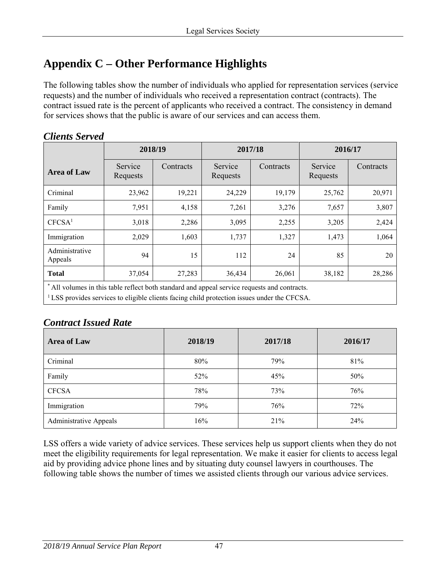# <span id="page-46-0"></span>**Appendix C – Other Performance Highlights**

The following tables show the number of individuals who applied for representation services (service requests) and the number of individuals who received a representation contract (contracts). The contract issued rate is the percent of applicants who received a contract. The consistency in demand for services shows that the public is aware of our services and can access them.

|                                                                                                                                                    | 2018/19             |           | 2017/18             |           | 2016/17             |           |  |  |
|----------------------------------------------------------------------------------------------------------------------------------------------------|---------------------|-----------|---------------------|-----------|---------------------|-----------|--|--|
| <b>Area of Law</b>                                                                                                                                 | Service<br>Requests | Contracts | Service<br>Requests | Contracts | Service<br>Requests | Contracts |  |  |
| Criminal                                                                                                                                           | 23,962              | 19,221    | 24,229              | 19,179    | 25,762              | 20,971    |  |  |
| Family                                                                                                                                             | 7,951               | 4,158     | 7,261               | 3,276     | 7,657               | 3,807     |  |  |
| CFCSA <sup>1</sup>                                                                                                                                 | 3,018               | 2,286     | 3,095               | 2,255     | 3,205               | 2,424     |  |  |
| Immigration                                                                                                                                        | 2,029               | 1,603     | 1,737               | 1,327     | 1,473               | 1,064     |  |  |
| Administrative<br>Appeals                                                                                                                          | 94                  | 15        | 112                 | 24        | 85                  | 20        |  |  |
| <b>Total</b>                                                                                                                                       | 37,054              | 27,283    | 36,434              | 26,061    | 38,182              | 28,286    |  |  |
| * All volumes in this table reflect both standard and appeal service requests and contracts.<br>المصطحب والمنافي ومواجئ والمتحول والمنافي المصاحبة |                     |           |                     |           |                     |           |  |  |

#### *Clients Served*

1 LSS provides services to eligible clients facing child protection issues under the CFCSA.

# *Contract Issued Rate*

| <b>Area of Law</b>            | 2018/19 | 2017/18 | 2016/17 |  |
|-------------------------------|---------|---------|---------|--|
| Criminal                      | 80%     | 79%     | 81%     |  |
| Family                        | 52%     | 45%     | 50%     |  |
| <b>CFCSA</b>                  | 78%     | 73%     | 76%     |  |
| Immigration                   | 79%     | 76%     | 72%     |  |
| <b>Administrative Appeals</b> | 16%     | 21%     | 24%     |  |

LSS offers a wide variety of advice services. These services help us support clients when they do not meet the eligibility requirements for legal representation. We make it easier for clients to access legal aid by providing advice phone lines and by situating duty counsel lawyers in courthouses. The following table shows the number of times we assisted clients through our various advice services.